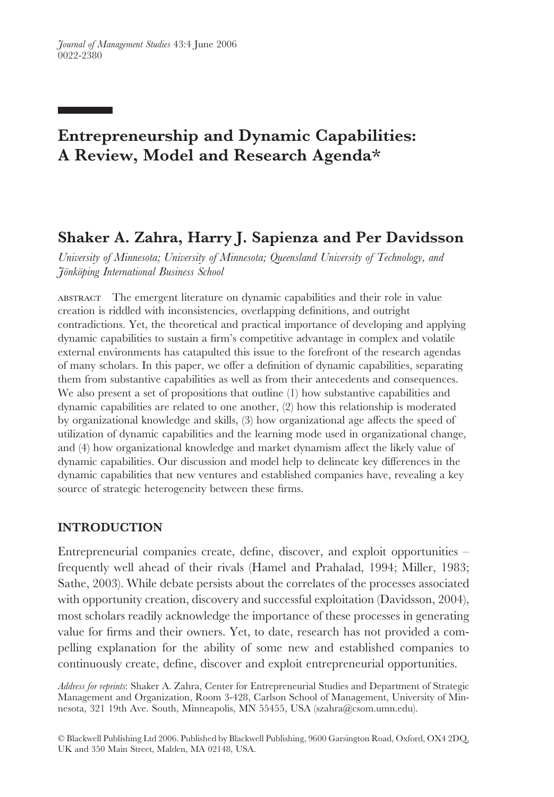# **Entrepreneurship and Dynamic Capabilities: A Review, Model and Research Agenda\***

# **Shaker A. Zahra, Harry J. Sapienza and Per Davidsson**

*University of Minnesota; University of Minnesota; Queensland University of Technology, and Jönköping International Business School*

abstract The emergent literature on dynamic capabilities and their role in value creation is riddled with inconsistencies, overlapping definitions, and outright contradictions. Yet, the theoretical and practical importance of developing and applying dynamic capabilities to sustain a firm's competitive advantage in complex and volatile external environments has catapulted this issue to the forefront of the research agendas of many scholars. In this paper, we offer a definition of dynamic capabilities, separating them from substantive capabilities as well as from their antecedents and consequences. We also present a set of propositions that outline (1) how substantive capabilities and dynamic capabilities are related to one another, (2) how this relationship is moderated by organizational knowledge and skills, (3) how organizational age affects the speed of utilization of dynamic capabilities and the learning mode used in organizational change, and (4) how organizational knowledge and market dynamism affect the likely value of dynamic capabilities. Our discussion and model help to delineate key differences in the dynamic capabilities that new ventures and established companies have, revealing a key source of strategic heterogeneity between these firms.

## **INTRODUCTION**

Entrepreneurial companies create, define, discover, and exploit opportunities – frequently well ahead of their rivals (Hamel and Prahalad, 1994; Miller, 1983; Sathe, 2003). While debate persists about the correlates of the processes associated with opportunity creation, discovery and successful exploitation (Davidsson, 2004), most scholars readily acknowledge the importance of these processes in generating value for firms and their owners. Yet, to date, research has not provided a compelling explanation for the ability of some new and established companies to continuously create, define, discover and exploit entrepreneurial opportunities.

*Address for reprints*: Shaker A. Zahra, Center for Entrepreneurial Studies and Department of Strategic Management and Organization, Room 3-428, Carlson School of Management, University of Minnesota, 321 19th Ave. South, Minneapolis, MN 55455, USA ([szahra@csom.umn.edu\).](mailto:szahra@csom.umn.edu)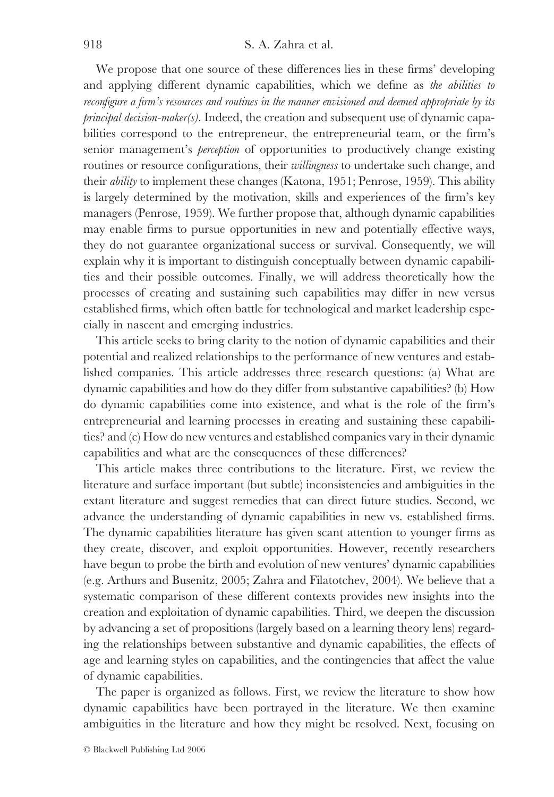We propose that one source of these differences lies in these firms' developing and applying different dynamic capabilities, which we define as *the abilities to reconfigure a firm's resources and routines in the manner envisioned and deemed appropriate by its principal decision-maker(s)*. Indeed, the creation and subsequent use of dynamic capabilities correspond to the entrepreneur, the entrepreneurial team, or the firm's senior management's *perception* of opportunities to productively change existing routines or resource configurations, their *willingness* to undertake such change, and their *ability* to implement these changes (Katona, 1951; Penrose, 1959). This ability is largely determined by the motivation, skills and experiences of the firm's key managers (Penrose, 1959). We further propose that, although dynamic capabilities may enable firms to pursue opportunities in new and potentially effective ways, they do not guarantee organizational success or survival. Consequently, we will explain why it is important to distinguish conceptually between dynamic capabilities and their possible outcomes. Finally, we will address theoretically how the processes of creating and sustaining such capabilities may differ in new versus established firms, which often battle for technological and market leadership especially in nascent and emerging industries.

This article seeks to bring clarity to the notion of dynamic capabilities and their potential and realized relationships to the performance of new ventures and established companies. This article addresses three research questions: (a) What are dynamic capabilities and how do they differ from substantive capabilities? (b) How do dynamic capabilities come into existence, and what is the role of the firm's entrepreneurial and learning processes in creating and sustaining these capabilities? and (c) How do new ventures and established companies vary in their dynamic capabilities and what are the consequences of these differences?

This article makes three contributions to the literature. First, we review the literature and surface important (but subtle) inconsistencies and ambiguities in the extant literature and suggest remedies that can direct future studies. Second, we advance the understanding of dynamic capabilities in new vs. established firms. The dynamic capabilities literature has given scant attention to younger firms as they create, discover, and exploit opportunities. However, recently researchers have begun to probe the birth and evolution of new ventures' dynamic capabilities (e.g. Arthurs and Busenitz, 2005; Zahra and Filatotchev, 2004). We believe that a systematic comparison of these different contexts provides new insights into the creation and exploitation of dynamic capabilities. Third, we deepen the discussion by advancing a set of propositions (largely based on a learning theory lens) regarding the relationships between substantive and dynamic capabilities, the effects of age and learning styles on capabilities, and the contingencies that affect the value of dynamic capabilities.

The paper is organized as follows. First, we review the literature to show how dynamic capabilities have been portrayed in the literature. We then examine ambiguities in the literature and how they might be resolved. Next, focusing on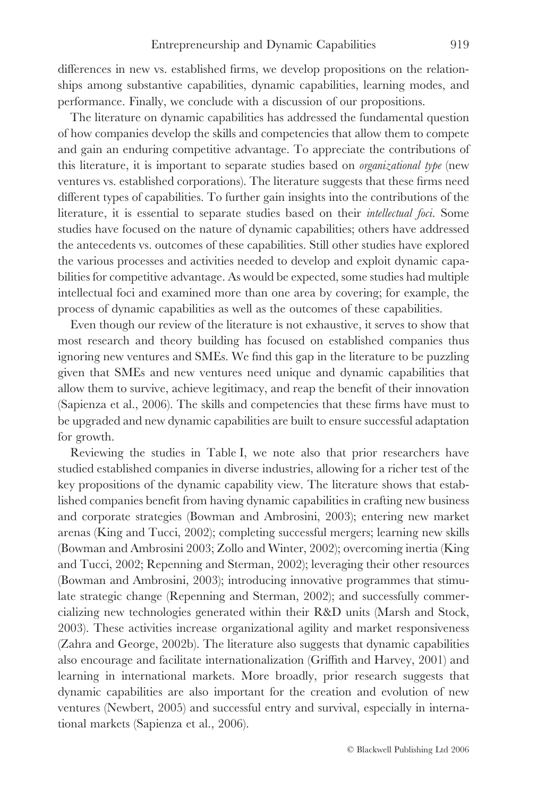differences in new vs. established firms, we develop propositions on the relationships among substantive capabilities, dynamic capabilities, learning modes, and performance. Finally, we conclude with a discussion of our propositions.

The literature on dynamic capabilities has addressed the fundamental question of how companies develop the skills and competencies that allow them to compete and gain an enduring competitive advantage. To appreciate the contributions of this literature, it is important to separate studies based on *organizational type* (new ventures vs. established corporations). The literature suggests that these firms need different types of capabilities. To further gain insights into the contributions of the literature, it is essential to separate studies based on their *intellectual foci*. Some studies have focused on the nature of dynamic capabilities; others have addressed the antecedents vs. outcomes of these capabilities. Still other studies have explored the various processes and activities needed to develop and exploit dynamic capabilities for competitive advantage. As would be expected, some studies had multiple intellectual foci and examined more than one area by covering; for example, the process of dynamic capabilities as well as the outcomes of these capabilities.

Even though our review of the literature is not exhaustive, it serves to show that most research and theory building has focused on established companies thus ignoring new ventures and SMEs. We find this gap in the literature to be puzzling given that SMEs and new ventures need unique and dynamic capabilities that allow them to survive, achieve legitimacy, and reap the benefit of their innovation (Sapienza et al., 2006). The skills and competencies that these firms have must to be upgraded and new dynamic capabilities are built to ensure successful adaptation for growth.

Reviewing the studies in Table I, we note also that prior researchers have studied established companies in diverse industries, allowing for a richer test of the key propositions of the dynamic capability view. The literature shows that established companies benefit from having dynamic capabilities in crafting new business and corporate strategies (Bowman and Ambrosini, 2003); entering new market arenas (King and Tucci, 2002); completing successful mergers; learning new skills (Bowman and Ambrosini 2003; Zollo and Winter, 2002); overcoming inertia (King and Tucci, 2002; Repenning and Sterman, 2002); leveraging their other resources (Bowman and Ambrosini, 2003); introducing innovative programmes that stimulate strategic change (Repenning and Sterman, 2002); and successfully commercializing new technologies generated within their R&D units (Marsh and Stock, 2003). These activities increase organizational agility and market responsiveness (Zahra and George, 2002b). The literature also suggests that dynamic capabilities also encourage and facilitate internationalization (Griffith and Harvey, 2001) and learning in international markets. More broadly, prior research suggests that dynamic capabilities are also important for the creation and evolution of new ventures (Newbert, 2005) and successful entry and survival, especially in international markets (Sapienza et al., 2006).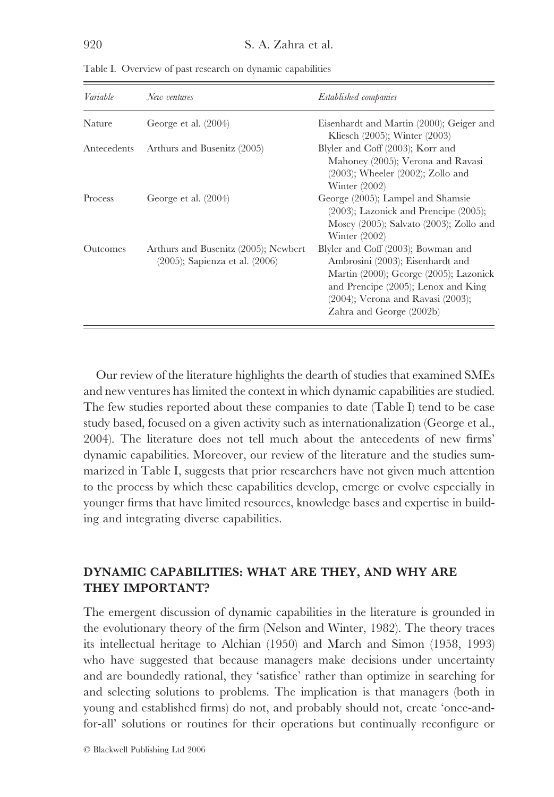| Variable        | New ventures                                                                | <i>Established companies</i>                                                                                                                                                                                             |
|-----------------|-----------------------------------------------------------------------------|--------------------------------------------------------------------------------------------------------------------------------------------------------------------------------------------------------------------------|
| Nature          | George et al. (2004)                                                        | Eisenhardt and Martin (2000); Geiger and<br>Kliesch (2005); Winter (2003)                                                                                                                                                |
| Antecedents     | Arthurs and Busenitz (2005)                                                 | Blyler and Coff (2003); Korr and<br>Mahoney (2005); Verona and Ravasi<br>$(2003)$ ; Wheeler $(2002)$ ; Zollo and<br>Winter $(2002)$                                                                                      |
| Process         | George et al. (2004)                                                        | George (2005); Lampel and Shamsie<br>$(2003)$ ; Lazonick and Prencipe $(2005)$ ;<br>Mosey $(2005)$ ; Salvato $(2003)$ ; Zollo and<br>Winter $(2002)$                                                                     |
| <b>Outcomes</b> | Arthurs and Busenitz (2005); Newbert<br>$(2005)$ ; Sapienza et al. $(2006)$ | Blyler and Coff (2003); Bowman and<br>Ambrosini (2003); Eisenhardt and<br>Martin (2000); George (2005); Lazonick<br>and Prencipe (2005); Lenox and King<br>(2004); Verona and Ravasi (2003);<br>Zahra and George (2002b) |

Table I. Overview of past research on dynamic capabilities

Our review of the literature highlights the dearth of studies that examined SMEs and new ventures has limited the context in which dynamic capabilities are studied. The few studies reported about these companies to date (Table I) tend to be case study based, focused on a given activity such as internationalization (George et al., 2004). The literature does not tell much about the antecedents of new firms' dynamic capabilities. Moreover, our review of the literature and the studies summarized in Table I, suggests that prior researchers have not given much attention to the process by which these capabilities develop, emerge or evolve especially in younger firms that have limited resources, knowledge bases and expertise in building and integrating diverse capabilities.

# **DYNAMIC CAPABILITIES: WHAT ARE THEY, AND WHY ARE THEY IMPORTANT?**

The emergent discussion of dynamic capabilities in the literature is grounded in the evolutionary theory of the firm (Nelson and Winter, 1982). The theory traces its intellectual heritage to Alchian (1950) and March and Simon (1958, 1993) who have suggested that because managers make decisions under uncertainty and are boundedly rational, they 'satisfice' rather than optimize in searching for and selecting solutions to problems. The implication is that managers (both in young and established firms) do not, and probably should not, create 'once-andfor-all' solutions or routines for their operations but continually reconfigure or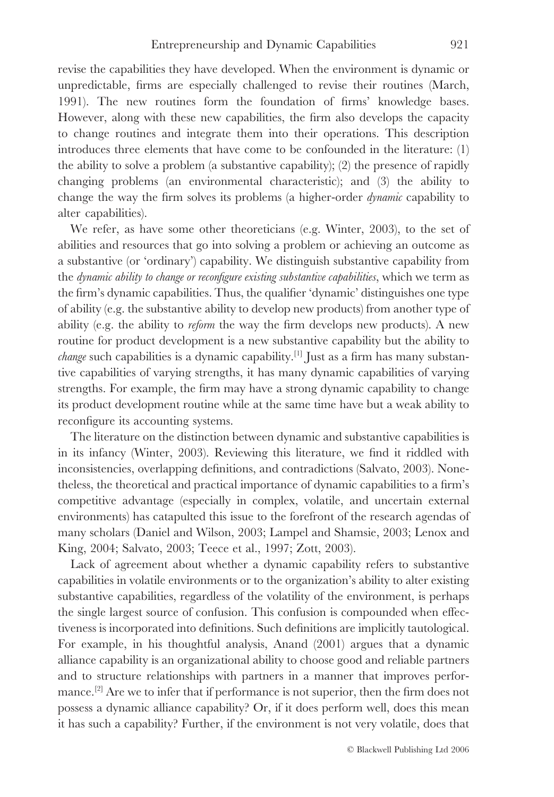revise the capabilities they have developed. When the environment is dynamic or unpredictable, firms are especially challenged to revise their routines (March, 1991). The new routines form the foundation of firms' knowledge bases. However, along with these new capabilities, the firm also develops the capacity to change routines and integrate them into their operations. This description introduces three elements that have come to be confounded in the literature: (1) the ability to solve a problem (a substantive capability); (2) the presence of rapidly changing problems (an environmental characteristic); and (3) the ability to change the way the firm solves its problems (a higher-order *dynamic* capability to alter capabilities).

We refer, as have some other theoreticians (e.g. Winter, 2003), to the set of abilities and resources that go into solving a problem or achieving an outcome as a substantive (or 'ordinary') capability. We distinguish substantive capability from the *dynamic ability to change or reconfigure existing substantive capabilities*, which we term as the firm's dynamic capabilities. Thus, the qualifier 'dynamic' distinguishes one type of ability (e.g. the substantive ability to develop new products) from another type of ability (e.g. the ability to *reform* the way the firm develops new products). A new routine for product development is a new substantive capability but the ability to *change* such capabilities is a dynamic capability.<sup>[1]</sup> Just as a firm has many substantive capabilities of varying strengths, it has many dynamic capabilities of varying strengths. For example, the firm may have a strong dynamic capability to change its product development routine while at the same time have but a weak ability to reconfigure its accounting systems.

The literature on the distinction between dynamic and substantive capabilities is in its infancy (Winter, 2003). Reviewing this literature, we find it riddled with inconsistencies, overlapping definitions, and contradictions (Salvato, 2003). Nonetheless, the theoretical and practical importance of dynamic capabilities to a firm's competitive advantage (especially in complex, volatile, and uncertain external environments) has catapulted this issue to the forefront of the research agendas of many scholars (Daniel and Wilson, 2003; Lampel and Shamsie, 2003; Lenox and King, 2004; Salvato, 2003; Teece et al., 1997; Zott, 2003).

Lack of agreement about whether a dynamic capability refers to substantive capabilities in volatile environments or to the organization's ability to alter existing substantive capabilities, regardless of the volatility of the environment, is perhaps the single largest source of confusion. This confusion is compounded when effectiveness is incorporated into definitions. Such definitions are implicitly tautological. For example, in his thoughtful analysis, Anand (2001) argues that a dynamic alliance capability is an organizational ability to choose good and reliable partners and to structure relationships with partners in a manner that improves performance.[2] Are we to infer that if performance is not superior, then the firm does not possess a dynamic alliance capability? Or, if it does perform well, does this mean it has such a capability? Further, if the environment is not very volatile, does that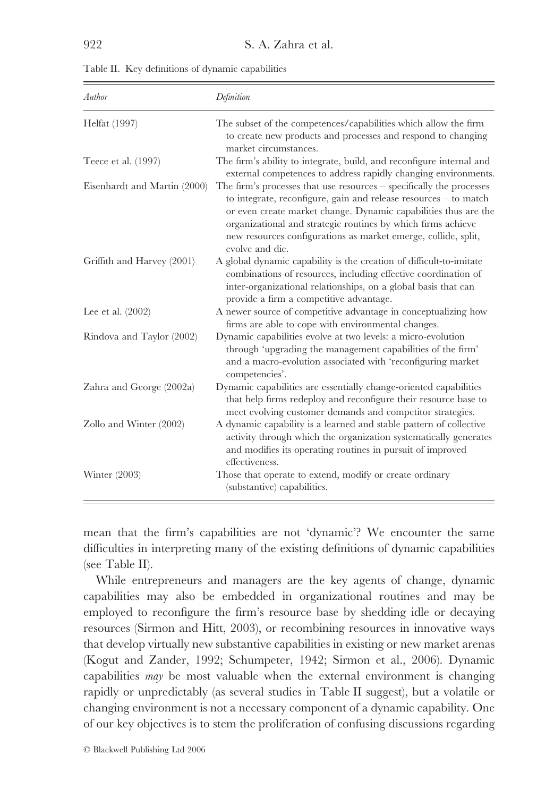Table II. Key definitions of dynamic capabilities

| Author                       | Definition                                                                                                                                                                                                                                                                                                                                                       |
|------------------------------|------------------------------------------------------------------------------------------------------------------------------------------------------------------------------------------------------------------------------------------------------------------------------------------------------------------------------------------------------------------|
| Helfat (1997)                | The subset of the competences/capabilities which allow the firm<br>to create new products and processes and respond to changing<br>market circumstances.                                                                                                                                                                                                         |
| Teece et al. $(1997)$        | The firm's ability to integrate, build, and reconfigure internal and<br>external competences to address rapidly changing environments.                                                                                                                                                                                                                           |
| Eisenhardt and Martin (2000) | The firm's processes that use resources - specifically the processes<br>to integrate, reconfigure, gain and release resources - to match<br>or even create market change. Dynamic capabilities thus are the<br>organizational and strategic routines by which firms achieve<br>new resources configurations as market emerge, collide, split,<br>evolve and die. |
| Griffith and Harvey (2001)   | A global dynamic capability is the creation of difficult-to-imitate<br>combinations of resources, including effective coordination of<br>inter-organizational relationships, on a global basis that can<br>provide a firm a competitive advantage.                                                                                                               |
| Lee et al. $(2002)$          | A newer source of competitive advantage in conceptualizing how<br>firms are able to cope with environmental changes.                                                                                                                                                                                                                                             |
| Rindova and Taylor (2002)    | Dynamic capabilities evolve at two levels: a micro-evolution<br>through 'upgrading the management capabilities of the firm'<br>and a macro-evolution associated with 'reconfiguring market<br>competencies'.                                                                                                                                                     |
| Zahra and George (2002a)     | Dynamic capabilities are essentially change-oriented capabilities<br>that help firms redeploy and reconfigure their resource base to<br>meet evolving customer demands and competitor strategies.                                                                                                                                                                |
| Zollo and Winter (2002)      | A dynamic capability is a learned and stable pattern of collective<br>activity through which the organization systematically generates<br>and modifies its operating routines in pursuit of improved<br>effectiveness.                                                                                                                                           |
| Winter $(2003)$              | Those that operate to extend, modify or create ordinary<br>(substantive) capabilities.                                                                                                                                                                                                                                                                           |

mean that the firm's capabilities are not 'dynamic'? We encounter the same difficulties in interpreting many of the existing definitions of dynamic capabilities (see Table II).

While entrepreneurs and managers are the key agents of change, dynamic capabilities may also be embedded in organizational routines and may be employed to reconfigure the firm's resource base by shedding idle or decaying resources (Sirmon and Hitt, 2003), or recombining resources in innovative ways that develop virtually new substantive capabilities in existing or new market arenas (Kogut and Zander, 1992; Schumpeter, 1942; Sirmon et al., 2006). Dynamic capabilities *may* be most valuable when the external environment is changing rapidly or unpredictably (as several studies in Table II suggest), but a volatile or changing environment is not a necessary component of a dynamic capability. One of our key objectives is to stem the proliferation of confusing discussions regarding

© Blackwell Publishing Ltd 2006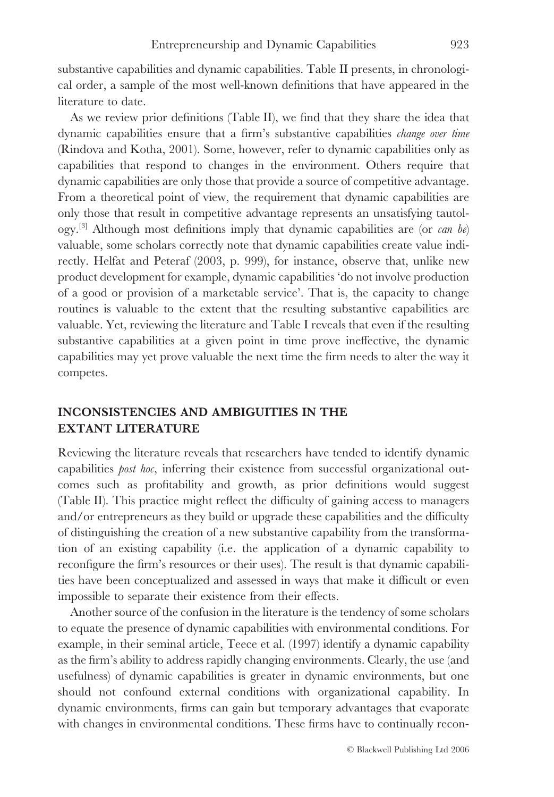substantive capabilities and dynamic capabilities. Table II presents, in chronological order, a sample of the most well-known definitions that have appeared in the literature to date.

As we review prior definitions (Table II), we find that they share the idea that dynamic capabilities ensure that a firm's substantive capabilities *change over time* (Rindova and Kotha, 2001). Some, however, refer to dynamic capabilities only as capabilities that respond to changes in the environment. Others require that dynamic capabilities are only those that provide a source of competitive advantage. From a theoretical point of view, the requirement that dynamic capabilities are only those that result in competitive advantage represents an unsatisfying tautology.[3] Although most definitions imply that dynamic capabilities are (or *can be*) valuable, some scholars correctly note that dynamic capabilities create value indirectly. Helfat and Peteraf (2003, p. 999), for instance, observe that, unlike new product development for example, dynamic capabilities 'do not involve production of a good or provision of a marketable service'. That is, the capacity to change routines is valuable to the extent that the resulting substantive capabilities are valuable. Yet, reviewing the literature and Table I reveals that even if the resulting substantive capabilities at a given point in time prove ineffective, the dynamic capabilities may yet prove valuable the next time the firm needs to alter the way it competes.

# **INCONSISTENCIES AND AMBIGUITIES IN THE EXTANT LITERATURE**

Reviewing the literature reveals that researchers have tended to identify dynamic capabilities *post hoc*, inferring their existence from successful organizational outcomes such as profitability and growth, as prior definitions would suggest (Table II). This practice might reflect the difficulty of gaining access to managers and/or entrepreneurs as they build or upgrade these capabilities and the difficulty of distinguishing the creation of a new substantive capability from the transformation of an existing capability (i.e. the application of a dynamic capability to reconfigure the firm's resources or their uses). The result is that dynamic capabilities have been conceptualized and assessed in ways that make it difficult or even impossible to separate their existence from their effects.

Another source of the confusion in the literature is the tendency of some scholars to equate the presence of dynamic capabilities with environmental conditions. For example, in their seminal article, Teece et al. (1997) identify a dynamic capability as the firm's ability to address rapidly changing environments. Clearly, the use (and usefulness) of dynamic capabilities is greater in dynamic environments, but one should not confound external conditions with organizational capability. In dynamic environments, firms can gain but temporary advantages that evaporate with changes in environmental conditions. These firms have to continually recon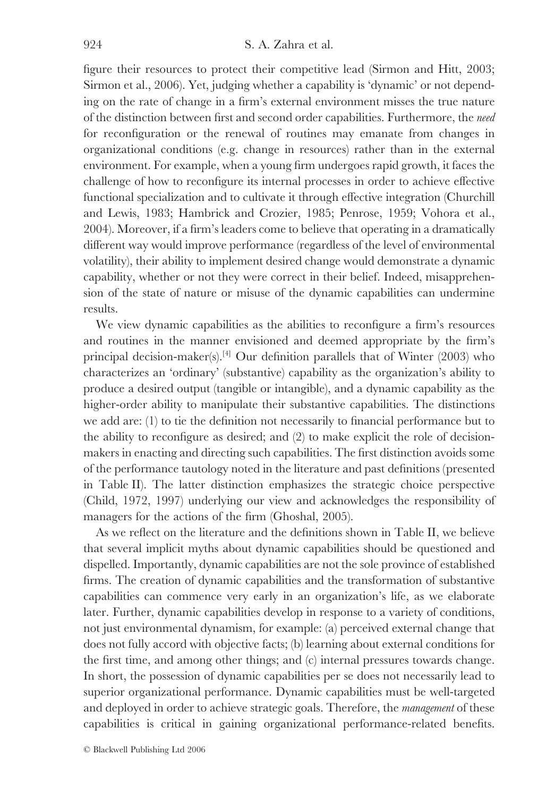figure their resources to protect their competitive lead (Sirmon and Hitt, 2003; Sirmon et al., 2006). Yet, judging whether a capability is 'dynamic' or not depending on the rate of change in a firm's external environment misses the true nature of the distinction between first and second order capabilities. Furthermore, the *need* for reconfiguration or the renewal of routines may emanate from changes in organizational conditions (e.g. change in resources) rather than in the external environment. For example, when a young firm undergoes rapid growth, it faces the challenge of how to reconfigure its internal processes in order to achieve effective functional specialization and to cultivate it through effective integration (Churchill and Lewis, 1983; Hambrick and Crozier, 1985; Penrose, 1959; Vohora et al., 2004). Moreover, if a firm's leaders come to believe that operating in a dramatically different way would improve performance (regardless of the level of environmental volatility), their ability to implement desired change would demonstrate a dynamic capability, whether or not they were correct in their belief. Indeed, misapprehension of the state of nature or misuse of the dynamic capabilities can undermine results.

We view dynamic capabilities as the abilities to reconfigure a firm's resources and routines in the manner envisioned and deemed appropriate by the firm's principal decision-maker(s).<sup>[4]</sup> Our definition parallels that of Winter  $(2003)$  who characterizes an 'ordinary' (substantive) capability as the organization's ability to produce a desired output (tangible or intangible), and a dynamic capability as the higher-order ability to manipulate their substantive capabilities. The distinctions we add are: (1) to tie the definition not necessarily to financial performance but to the ability to reconfigure as desired; and (2) to make explicit the role of decisionmakers in enacting and directing such capabilities. The first distinction avoids some of the performance tautology noted in the literature and past definitions (presented in Table II). The latter distinction emphasizes the strategic choice perspective (Child, 1972, 1997) underlying our view and acknowledges the responsibility of managers for the actions of the firm (Ghoshal, 2005).

As we reflect on the literature and the definitions shown in Table II, we believe that several implicit myths about dynamic capabilities should be questioned and dispelled. Importantly, dynamic capabilities are not the sole province of established firms. The creation of dynamic capabilities and the transformation of substantive capabilities can commence very early in an organization's life, as we elaborate later. Further, dynamic capabilities develop in response to a variety of conditions, not just environmental dynamism, for example: (a) perceived external change that does not fully accord with objective facts; (b) learning about external conditions for the first time, and among other things; and (c) internal pressures towards change. In short, the possession of dynamic capabilities per se does not necessarily lead to superior organizational performance. Dynamic capabilities must be well-targeted and deployed in order to achieve strategic goals. Therefore, the *management* of these capabilities is critical in gaining organizational performance-related benefits.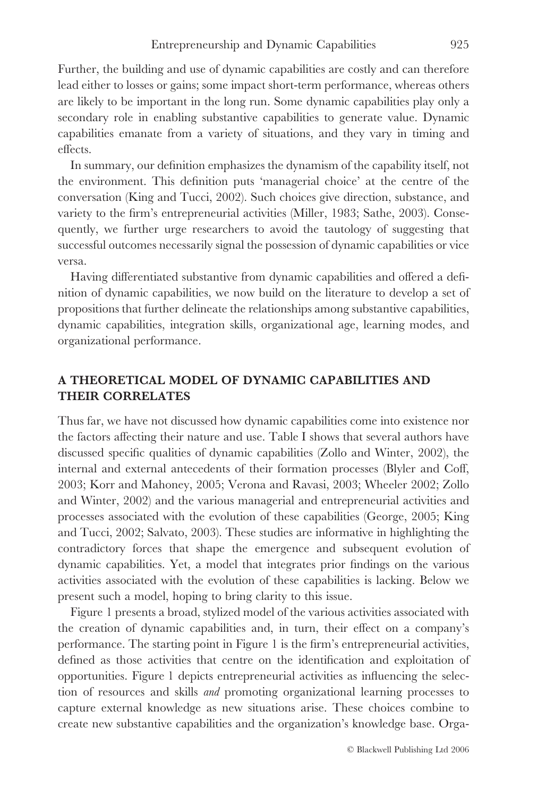Further, the building and use of dynamic capabilities are costly and can therefore lead either to losses or gains; some impact short-term performance, whereas others are likely to be important in the long run. Some dynamic capabilities play only a secondary role in enabling substantive capabilities to generate value. Dynamic capabilities emanate from a variety of situations, and they vary in timing and effects.

In summary, our definition emphasizes the dynamism of the capability itself, not the environment. This definition puts 'managerial choice' at the centre of the conversation (King and Tucci, 2002). Such choices give direction, substance, and variety to the firm's entrepreneurial activities (Miller, 1983; Sathe, 2003). Consequently, we further urge researchers to avoid the tautology of suggesting that successful outcomes necessarily signal the possession of dynamic capabilities or vice versa.

Having differentiated substantive from dynamic capabilities and offered a definition of dynamic capabilities, we now build on the literature to develop a set of propositions that further delineate the relationships among substantive capabilities, dynamic capabilities, integration skills, organizational age, learning modes, and organizational performance.

# **A THEORETICAL MODEL OF DYNAMIC CAPABILITIES AND THEIR CORRELATES**

Thus far, we have not discussed how dynamic capabilities come into existence nor the factors affecting their nature and use. Table I shows that several authors have discussed specific qualities of dynamic capabilities (Zollo and Winter, 2002), the internal and external antecedents of their formation processes (Blyler and Coff, 2003; Korr and Mahoney, 2005; Verona and Ravasi, 2003; Wheeler 2002; Zollo and Winter, 2002) and the various managerial and entrepreneurial activities and processes associated with the evolution of these capabilities (George, 2005; King and Tucci, 2002; Salvato, 2003). These studies are informative in highlighting the contradictory forces that shape the emergence and subsequent evolution of dynamic capabilities. Yet, a model that integrates prior findings on the various activities associated with the evolution of these capabilities is lacking. Below we present such a model, hoping to bring clarity to this issue.

Figure 1 presents a broad, stylized model of the various activities associated with the creation of dynamic capabilities and, in turn, their effect on a company's performance. The starting point in Figure 1 is the firm's entrepreneurial activities, defined as those activities that centre on the identification and exploitation of opportunities. Figure 1 depicts entrepreneurial activities as influencing the selection of resources and skills *and* promoting organizational learning processes to capture external knowledge as new situations arise. These choices combine to create new substantive capabilities and the organization's knowledge base. Orga-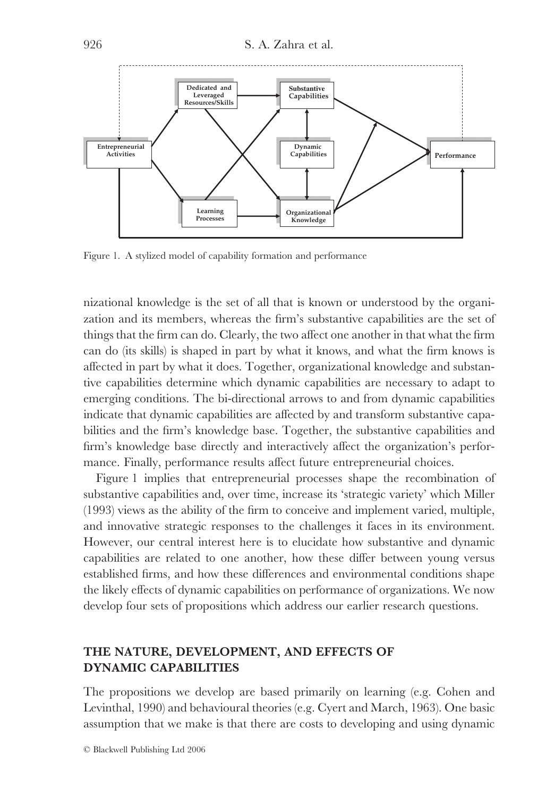

Figure 1. A stylized model of capability formation and performance

nizational knowledge is the set of all that is known or understood by the organization and its members, whereas the firm's substantive capabilities are the set of things that the firm can do. Clearly, the two affect one another in that what the firm can do (its skills) is shaped in part by what it knows, and what the firm knows is affected in part by what it does. Together, organizational knowledge and substantive capabilities determine which dynamic capabilities are necessary to adapt to emerging conditions. The bi-directional arrows to and from dynamic capabilities indicate that dynamic capabilities are affected by and transform substantive capabilities and the firm's knowledge base. Together, the substantive capabilities and firm's knowledge base directly and interactively affect the organization's performance. Finally, performance results affect future entrepreneurial choices.

Figure 1 implies that entrepreneurial processes shape the recombination of substantive capabilities and, over time, increase its 'strategic variety' which Miller (1993) views as the ability of the firm to conceive and implement varied, multiple, and innovative strategic responses to the challenges it faces in its environment. However, our central interest here is to elucidate how substantive and dynamic capabilities are related to one another, how these differ between young versus established firms, and how these differences and environmental conditions shape the likely effects of dynamic capabilities on performance of organizations. We now develop four sets of propositions which address our earlier research questions.

## **THE NATURE, DEVELOPMENT, AND EFFECTS OF DYNAMIC CAPABILITIES**

The propositions we develop are based primarily on learning (e.g. Cohen and Levinthal, 1990) and behavioural theories (e.g. Cyert and March, 1963). One basic assumption that we make is that there are costs to developing and using dynamic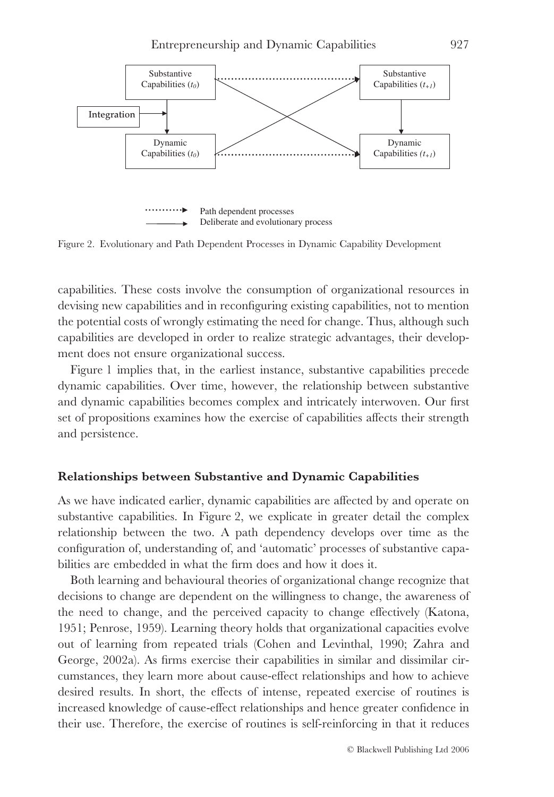

Figure 2. Evolutionary and Path Dependent Processes in Dynamic Capability Development

capabilities. These costs involve the consumption of organizational resources in devising new capabilities and in reconfiguring existing capabilities, not to mention the potential costs of wrongly estimating the need for change. Thus, although such capabilities are developed in order to realize strategic advantages, their development does not ensure organizational success.

Figure 1 implies that, in the earliest instance, substantive capabilities precede dynamic capabilities. Over time, however, the relationship between substantive and dynamic capabilities becomes complex and intricately interwoven. Our first set of propositions examines how the exercise of capabilities affects their strength and persistence.

#### **Relationships between Substantive and Dynamic Capabilities**

As we have indicated earlier, dynamic capabilities are affected by and operate on substantive capabilities. In Figure 2, we explicate in greater detail the complex relationship between the two. A path dependency develops over time as the configuration of, understanding of, and 'automatic' processes of substantive capabilities are embedded in what the firm does and how it does it.

Both learning and behavioural theories of organizational change recognize that decisions to change are dependent on the willingness to change, the awareness of the need to change, and the perceived capacity to change effectively (Katona, 1951; Penrose, 1959). Learning theory holds that organizational capacities evolve out of learning from repeated trials (Cohen and Levinthal, 1990; Zahra and George, 2002a). As firms exercise their capabilities in similar and dissimilar circumstances, they learn more about cause-effect relationships and how to achieve desired results. In short, the effects of intense, repeated exercise of routines is increased knowledge of cause-effect relationships and hence greater confidence in their use. Therefore, the exercise of routines is self-reinforcing in that it reduces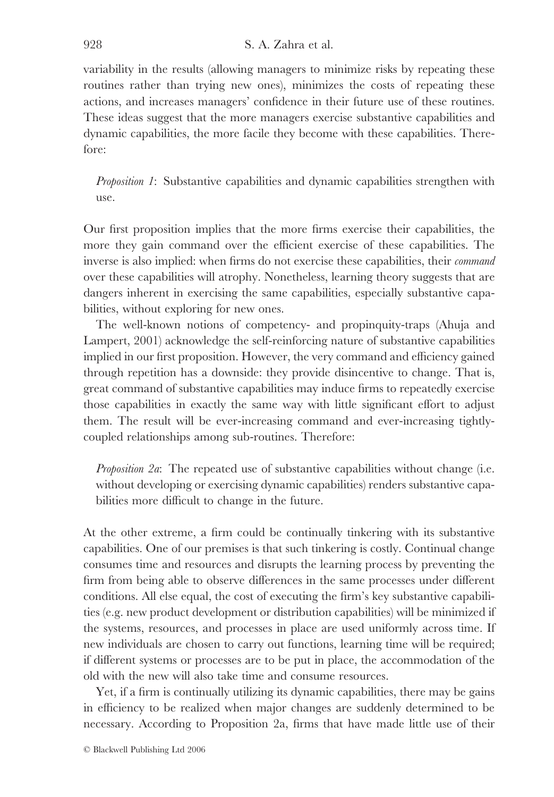variability in the results (allowing managers to minimize risks by repeating these routines rather than trying new ones), minimizes the costs of repeating these actions, and increases managers' confidence in their future use of these routines. These ideas suggest that the more managers exercise substantive capabilities and dynamic capabilities, the more facile they become with these capabilities. Therefore:

*Proposition 1*: Substantive capabilities and dynamic capabilities strengthen with use.

Our first proposition implies that the more firms exercise their capabilities, the more they gain command over the efficient exercise of these capabilities. The inverse is also implied: when firms do not exercise these capabilities, their *command* over these capabilities will atrophy. Nonetheless, learning theory suggests that are dangers inherent in exercising the same capabilities, especially substantive capabilities, without exploring for new ones.

The well-known notions of competency- and propinquity-traps (Ahuja and Lampert, 2001) acknowledge the self-reinforcing nature of substantive capabilities implied in our first proposition. However, the very command and efficiency gained through repetition has a downside: they provide disincentive to change. That is, great command of substantive capabilities may induce firms to repeatedly exercise those capabilities in exactly the same way with little significant effort to adjust them. The result will be ever-increasing command and ever-increasing tightlycoupled relationships among sub-routines. Therefore:

*Proposition 2a*: The repeated use of substantive capabilities without change (i.e. without developing or exercising dynamic capabilities) renders substantive capabilities more difficult to change in the future.

At the other extreme, a firm could be continually tinkering with its substantive capabilities. One of our premises is that such tinkering is costly. Continual change consumes time and resources and disrupts the learning process by preventing the firm from being able to observe differences in the same processes under different conditions. All else equal, the cost of executing the firm's key substantive capabilities (e.g. new product development or distribution capabilities) will be minimized if the systems, resources, and processes in place are used uniformly across time. If new individuals are chosen to carry out functions, learning time will be required; if different systems or processes are to be put in place, the accommodation of the old with the new will also take time and consume resources.

Yet, if a firm is continually utilizing its dynamic capabilities, there may be gains in efficiency to be realized when major changes are suddenly determined to be necessary. According to Proposition 2a, firms that have made little use of their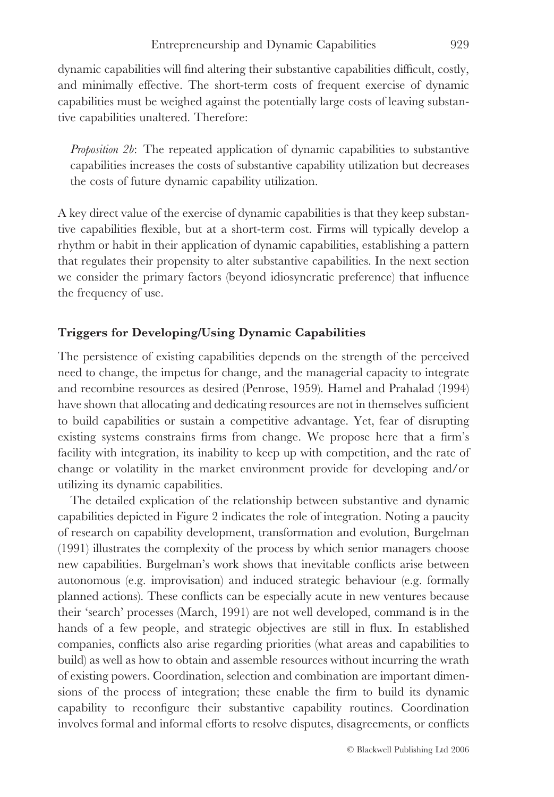dynamic capabilities will find altering their substantive capabilities difficult, costly, and minimally effective. The short-term costs of frequent exercise of dynamic capabilities must be weighed against the potentially large costs of leaving substantive capabilities unaltered. Therefore:

*Proposition 2b*: The repeated application of dynamic capabilities to substantive capabilities increases the costs of substantive capability utilization but decreases the costs of future dynamic capability utilization.

A key direct value of the exercise of dynamic capabilities is that they keep substantive capabilities flexible, but at a short-term cost. Firms will typically develop a rhythm or habit in their application of dynamic capabilities, establishing a pattern that regulates their propensity to alter substantive capabilities. In the next section we consider the primary factors (beyond idiosyncratic preference) that influence the frequency of use.

## **Triggers for Developing/Using Dynamic Capabilities**

The persistence of existing capabilities depends on the strength of the perceived need to change, the impetus for change, and the managerial capacity to integrate and recombine resources as desired (Penrose, 1959). Hamel and Prahalad (1994) have shown that allocating and dedicating resources are not in themselves sufficient to build capabilities or sustain a competitive advantage. Yet, fear of disrupting existing systems constrains firms from change. We propose here that a firm's facility with integration, its inability to keep up with competition, and the rate of change or volatility in the market environment provide for developing and/or utilizing its dynamic capabilities.

The detailed explication of the relationship between substantive and dynamic capabilities depicted in Figure 2 indicates the role of integration. Noting a paucity of research on capability development, transformation and evolution, Burgelman (1991) illustrates the complexity of the process by which senior managers choose new capabilities. Burgelman's work shows that inevitable conflicts arise between autonomous (e.g. improvisation) and induced strategic behaviour (e.g. formally planned actions). These conflicts can be especially acute in new ventures because their 'search' processes (March, 1991) are not well developed, command is in the hands of a few people, and strategic objectives are still in flux. In established companies, conflicts also arise regarding priorities (what areas and capabilities to build) as well as how to obtain and assemble resources without incurring the wrath of existing powers. Coordination, selection and combination are important dimensions of the process of integration; these enable the firm to build its dynamic capability to reconfigure their substantive capability routines. Coordination involves formal and informal efforts to resolve disputes, disagreements, or conflicts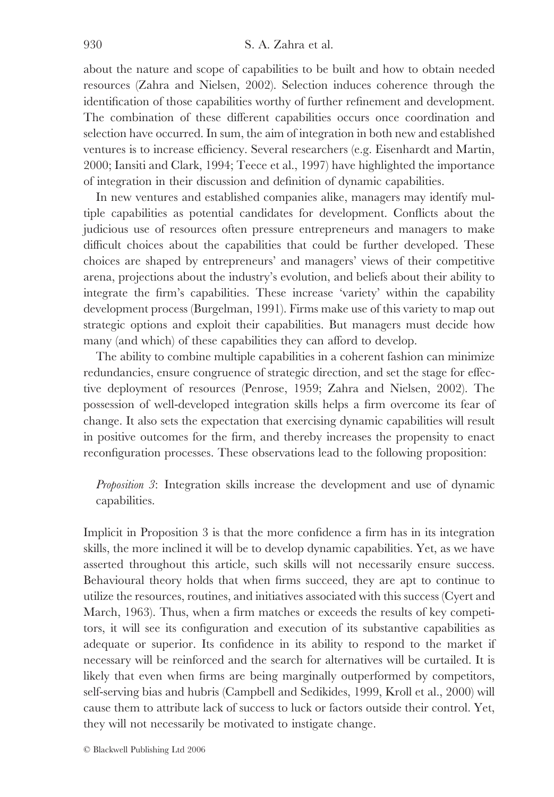about the nature and scope of capabilities to be built and how to obtain needed resources (Zahra and Nielsen, 2002). Selection induces coherence through the identification of those capabilities worthy of further refinement and development. The combination of these different capabilities occurs once coordination and selection have occurred. In sum, the aim of integration in both new and established ventures is to increase efficiency. Several researchers (e.g. Eisenhardt and Martin, 2000; Iansiti and Clark, 1994; Teece et al., 1997) have highlighted the importance of integration in their discussion and definition of dynamic capabilities.

In new ventures and established companies alike, managers may identify multiple capabilities as potential candidates for development. Conflicts about the judicious use of resources often pressure entrepreneurs and managers to make difficult choices about the capabilities that could be further developed. These choices are shaped by entrepreneurs' and managers' views of their competitive arena, projections about the industry's evolution, and beliefs about their ability to integrate the firm's capabilities. These increase 'variety' within the capability development process (Burgelman, 1991). Firms make use of this variety to map out strategic options and exploit their capabilities. But managers must decide how many (and which) of these capabilities they can afford to develop.

The ability to combine multiple capabilities in a coherent fashion can minimize redundancies, ensure congruence of strategic direction, and set the stage for effective deployment of resources (Penrose, 1959; Zahra and Nielsen, 2002). The possession of well-developed integration skills helps a firm overcome its fear of change. It also sets the expectation that exercising dynamic capabilities will result in positive outcomes for the firm, and thereby increases the propensity to enact reconfiguration processes. These observations lead to the following proposition:

*Proposition 3*: Integration skills increase the development and use of dynamic capabilities.

Implicit in Proposition 3 is that the more confidence a firm has in its integration skills, the more inclined it will be to develop dynamic capabilities. Yet, as we have asserted throughout this article, such skills will not necessarily ensure success. Behavioural theory holds that when firms succeed, they are apt to continue to utilize the resources, routines, and initiatives associated with this success (Cyert and March, 1963). Thus, when a firm matches or exceeds the results of key competitors, it will see its configuration and execution of its substantive capabilities as adequate or superior. Its confidence in its ability to respond to the market if necessary will be reinforced and the search for alternatives will be curtailed. It is likely that even when firms are being marginally outperformed by competitors, self-serving bias and hubris (Campbell and Sedikides, 1999, Kroll et al., 2000) will cause them to attribute lack of success to luck or factors outside their control. Yet, they will not necessarily be motivated to instigate change.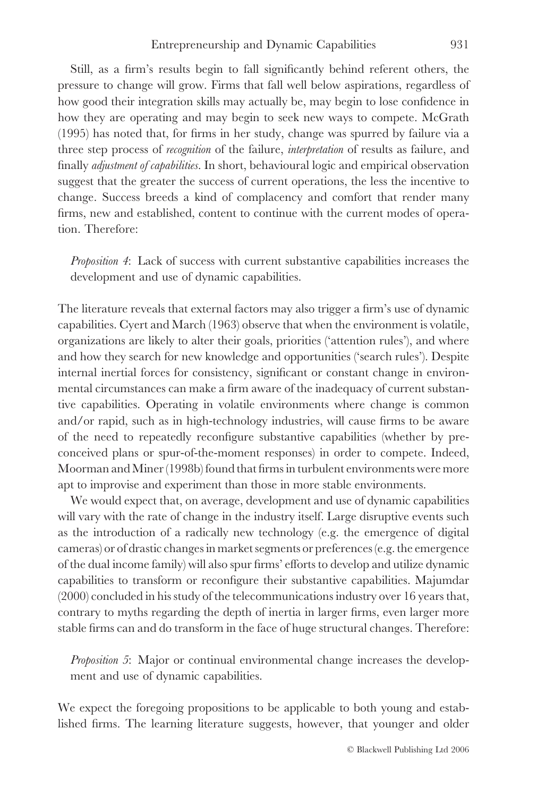Still, as a firm's results begin to fall significantly behind referent others, the pressure to change will grow. Firms that fall well below aspirations, regardless of how good their integration skills may actually be, may begin to lose confidence in how they are operating and may begin to seek new ways to compete. McGrath (1995) has noted that, for firms in her study, change was spurred by failure via a three step process of *recognition* of the failure, *interpretation* of results as failure, and finally *adjustment of capabilities*. In short, behavioural logic and empirical observation suggest that the greater the success of current operations, the less the incentive to change. Success breeds a kind of complacency and comfort that render many firms, new and established, content to continue with the current modes of operation. Therefore:

*Proposition 4*: Lack of success with current substantive capabilities increases the development and use of dynamic capabilities.

The literature reveals that external factors may also trigger a firm's use of dynamic capabilities. Cyert and March (1963) observe that when the environment is volatile, organizations are likely to alter their goals, priorities ('attention rules'), and where and how they search for new knowledge and opportunities ('search rules'). Despite internal inertial forces for consistency, significant or constant change in environmental circumstances can make a firm aware of the inadequacy of current substantive capabilities. Operating in volatile environments where change is common and/or rapid, such as in high-technology industries, will cause firms to be aware of the need to repeatedly reconfigure substantive capabilities (whether by preconceived plans or spur-of-the-moment responses) in order to compete. Indeed, Moorman and Miner (1998b) found that firms in turbulent environments were more apt to improvise and experiment than those in more stable environments.

We would expect that, on average, development and use of dynamic capabilities will vary with the rate of change in the industry itself. Large disruptive events such as the introduction of a radically new technology (e.g. the emergence of digital cameras) or of drastic changes in market segments or preferences (e.g. the emergence of the dual income family) will also spur firms' efforts to develop and utilize dynamic capabilities to transform or reconfigure their substantive capabilities. Majumdar (2000) concluded in his study of the telecommunications industry over 16 years that, contrary to myths regarding the depth of inertia in larger firms, even larger more stable firms can and do transform in the face of huge structural changes. Therefore:

*Proposition 5*: Major or continual environmental change increases the development and use of dynamic capabilities.

We expect the foregoing propositions to be applicable to both young and established firms. The learning literature suggests, however, that younger and older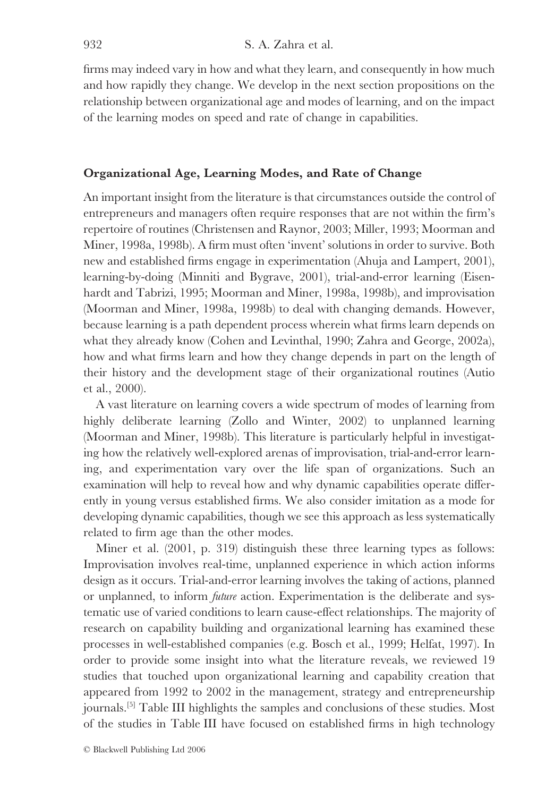firms may indeed vary in how and what they learn, and consequently in how much and how rapidly they change. We develop in the next section propositions on the relationship between organizational age and modes of learning, and on the impact of the learning modes on speed and rate of change in capabilities.

### **Organizational Age, Learning Modes, and Rate of Change**

An important insight from the literature is that circumstances outside the control of entrepreneurs and managers often require responses that are not within the firm's repertoire of routines (Christensen and Raynor, 2003; Miller, 1993; Moorman and Miner, 1998a, 1998b). A firm must often 'invent' solutions in order to survive. Both new and established firms engage in experimentation (Ahuja and Lampert, 2001), learning-by-doing (Minniti and Bygrave, 2001), trial-and-error learning (Eisenhardt and Tabrizi, 1995; Moorman and Miner, 1998a, 1998b), and improvisation (Moorman and Miner, 1998a, 1998b) to deal with changing demands. However, because learning is a path dependent process wherein what firms learn depends on what they already know (Cohen and Levinthal, 1990; Zahra and George, 2002a), how and what firms learn and how they change depends in part on the length of their history and the development stage of their organizational routines (Autio et al., 2000).

A vast literature on learning covers a wide spectrum of modes of learning from highly deliberate learning (Zollo and Winter, 2002) to unplanned learning (Moorman and Miner, 1998b). This literature is particularly helpful in investigating how the relatively well-explored arenas of improvisation, trial-and-error learning, and experimentation vary over the life span of organizations. Such an examination will help to reveal how and why dynamic capabilities operate differently in young versus established firms. We also consider imitation as a mode for developing dynamic capabilities, though we see this approach as less systematically related to firm age than the other modes.

Miner et al. (2001, p. 319) distinguish these three learning types as follows: Improvisation involves real-time, unplanned experience in which action informs design as it occurs. Trial-and-error learning involves the taking of actions, planned or unplanned, to inform *future* action. Experimentation is the deliberate and systematic use of varied conditions to learn cause-effect relationships. The majority of research on capability building and organizational learning has examined these processes in well-established companies (e.g. Bosch et al., 1999; Helfat, 1997). In order to provide some insight into what the literature reveals, we reviewed 19 studies that touched upon organizational learning and capability creation that appeared from 1992 to 2002 in the management, strategy and entrepreneurship journals.[5] Table III highlights the samples and conclusions of these studies. Most of the studies in Table III have focused on established firms in high technology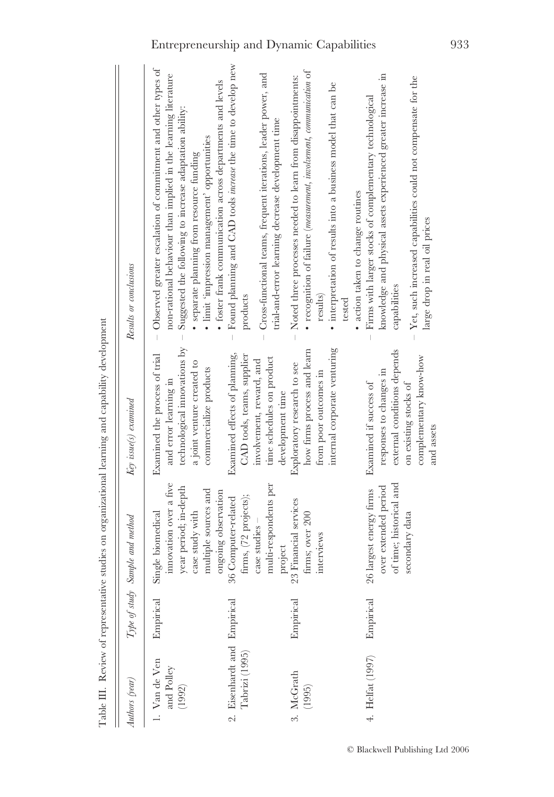| Authors (year)                                  |           | Type of study Sample and method                                                                                                        | Key issue(s) examined                                                                                                                             | Results or conclusions                                                                                                                                                                                                                                                                                                                                |
|-------------------------------------------------|-----------|----------------------------------------------------------------------------------------------------------------------------------------|---------------------------------------------------------------------------------------------------------------------------------------------------|-------------------------------------------------------------------------------------------------------------------------------------------------------------------------------------------------------------------------------------------------------------------------------------------------------------------------------------------------------|
| $1.$ Van de Ven<br>and Polley<br>(1992)         | Empirical | innovation over a five<br>year period; in-depth<br>multiple sources and<br>ongoing observation<br>Single biomedical<br>case study with | technological innovations by<br>Examined the process of trial<br>a joint venture created to<br>commercialize products<br>and error learning in    | - Observed greater escalation of commitment and other types of<br>non-rational behaviour than implied in the learning literature<br>• foster frank communication across departments and levels<br>Suggested the following to increase adaptation ability:<br>· limit 'impression management' opportunities<br>separate planning from resource funding |
| 2. Eisenhardt and Empirical<br>Tabrizi $(1995)$ |           | multi-respondents per<br>firms, (72 projects);<br>36 Computer-related<br>case studies -<br>project                                     | Examined effects of planning,<br>CAD tools, teams, supplier<br>time schedules on product<br>involvement, reward, and<br>development time          | Found planning and CAD tools increase the time to develop new<br>Cross-functional teams, frequent iterations, leader power, and<br>trial-and-error learning decrease development time<br>products                                                                                                                                                     |
| 3. McGrath<br>(1995)                            | Empirical | 23 Financial services<br>firms; over 200<br>interviews                                                                                 | internal corporate venturing<br>how firms process and learn<br>Exploratory research to see<br>from poor outcomes in                               | • recognition of failure (measurement, involvement, communication of<br>Noted three processes needed to learn from disappointments:<br>• interpretation of results into a business model that can be<br>results)<br>tested                                                                                                                            |
| 4. Helfat (1997)                                | Empirical | of time; historical and<br>over extended period<br>26 largest energy firms<br>secondary data                                           | external conditions depends<br>complementary know-how<br>responses to changes in<br>Examined if success of<br>on existing stocks of<br>and assets | knowledge and physical assets experienced greater increase in<br>Yet, such increased capabilities could not compensate for the<br>Firms with larger stocks of complementary technological<br>• action taken to change routines<br>large drop in real oil prices<br>capabilities                                                                       |

Table III. Review of representative studies on organizational learning and capability development Table III. Review of representative studies on organizational learning and capability development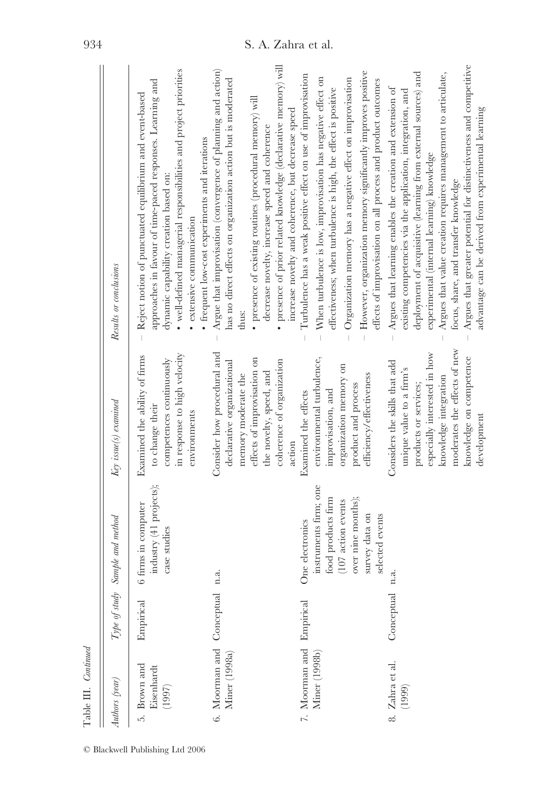| Table III. Continued                      |            |                                                                                                                                                          |                                                                                                                                                                                                                       |                                                                                                                                                                                                                                                                                                                                                                                                                                                                                                |
|-------------------------------------------|------------|----------------------------------------------------------------------------------------------------------------------------------------------------------|-----------------------------------------------------------------------------------------------------------------------------------------------------------------------------------------------------------------------|------------------------------------------------------------------------------------------------------------------------------------------------------------------------------------------------------------------------------------------------------------------------------------------------------------------------------------------------------------------------------------------------------------------------------------------------------------------------------------------------|
| Authors (year)                            |            | Type of study Sample and method                                                                                                                          | Key issue(s) examined                                                                                                                                                                                                 | Results or conclusions                                                                                                                                                                                                                                                                                                                                                                                                                                                                         |
| 5. Brown and<br>Eisenhardt<br>(1997)      | Empirical  | industry (41 projects);<br>firms in computer<br>case studies<br>$\circ$                                                                                  | in response to high velocity<br>Examined the ability of firms<br>competences continuously<br>to change their<br>environments                                                                                          | · well-defined managerial responsibilities and project priorities<br>approaches in favour of time-paced responses. Learning and<br>Reject notion of punctuated equilibrium and event-based<br>• frequent low-cost experiments and iterations<br>dynamic capability creation based on:<br>extensive communication<br>$\mathbb{L}$                                                                                                                                                               |
| 6. Moorman and<br>Miner (1998a)           | Conceptual | n.a.                                                                                                                                                     | Consider how procedural and<br>effects of improvisation on<br>coherence of organization<br>declarative organizational<br>the novelty, speed, and<br>memory moderate the<br>action                                     | • presence of prior related knowledge (declarative memory) will<br>Argue that improvisation (convergence of planning and action)<br>has no direct effects on organization action but is moderated<br>• presence of existing routines (procedural memory) will<br>increase novelty and coherence, but decrease speed<br>decrease novelty, increase speed and coherence<br>thus:                                                                                                                 |
| 7. Moorman and Empirical<br>Miner (1998b) |            | instruments firm; one<br>over nine months);<br>food products firm<br>$(107 \text{ action events}$<br>survey data on<br>selected events<br>ne electronics | environmental turbulence,<br>organization memory on<br>efficiency/effectiveness<br>product and process<br>improvisation, and<br>Examined the effects                                                                  | However, organization memory significantly improves positive<br>Turbulence has a weak positive effect on use of improvisation<br>When turbulence is low, improvisation has negative effect on<br>Organization memory has a negative effect on improvisation<br>effects of improvisation on all process and product outcomes<br>effectiveness; when turbulence is high, the effect is positive<br>$\overline{\phantom{a}}$                                                                      |
| 8. Zahra et al.<br>(1999)                 | Conceptual | n.a.                                                                                                                                                     | moderates the effects of new<br>especially interested in how<br>knowledge on competence<br>Considers the skills that add<br>unique value to a firm's<br>knowledge integration<br>products or services;<br>development | Argues that greater potential for distinctiveness and competitive<br>deployment of acquisitive (learning from external sources) and<br>Argues that value creation requires management to articulate,<br>Argues that learning enables the creation and extension of<br>existing competencies via the application, integration, and<br>advantage can be derived from experimental learning<br>experimental (internal learning) knowledge<br>focus, share, and transfer knowledge<br>$\mathbf{I}$ |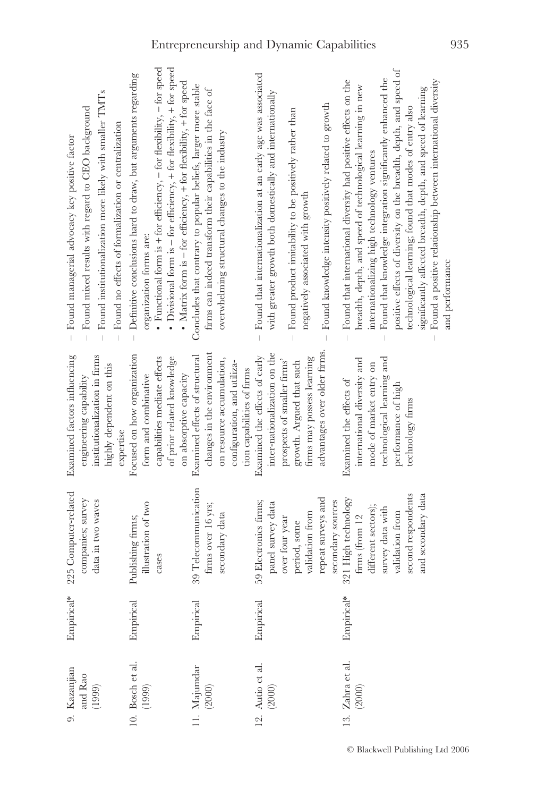| 9. Kazanjian<br>and $\rm{Rao}$<br>(1999) | Empirical* | 225 Computer-related<br>companies; survey<br>data in two waves                                                                                  | Examined factors influencing<br>institutionalization in firms<br>highly dependent on this<br>engineering capability<br>expertise                                                       | Found institutionalization more likely with smaller TMTs<br>Found mixed results with regard to CEO background<br>Found no effects of formalization or centralization<br>Found managerial advocacy key positive factor<br>$\overline{1}$<br>$\mathbf{I}$<br>$\mathbb{I}$                                                                                                                                                                                                                                                       |
|------------------------------------------|------------|-------------------------------------------------------------------------------------------------------------------------------------------------|----------------------------------------------------------------------------------------------------------------------------------------------------------------------------------------|-------------------------------------------------------------------------------------------------------------------------------------------------------------------------------------------------------------------------------------------------------------------------------------------------------------------------------------------------------------------------------------------------------------------------------------------------------------------------------------------------------------------------------|
| 10. Bosch et al.<br>(1999)               | Empirical  | illustration of two<br>Publishing firms;<br>cases                                                                                               | Focused on how organization<br>capabilities mediate effects<br>of prior related knowledge<br>on absorptive capacity<br>form and combinative                                            | • Functional form is $+$ for efficiency, $-$ for flexibility, $-$ for speed<br>• Divisional form is - for efficiency, + for flexibility, + for speed<br>Definitive conclusions hard to draw, but arguments regarding<br>• Matrix form is - for efficiency, + for flexibility, + for speed<br>organization forms are:                                                                                                                                                                                                          |
| 11. Majumdar<br>(2000)                   | Empirical  | Telecommunication<br>firms over 16 yrs;<br>secondary data<br>39                                                                                 | changes in the environment<br>Examined effects of structural<br>on resource accumulation,<br>configuration, and utiliza-<br>tion capabilities of firms                                 | Concludes that contrary to popular beliefs, larger more stable<br>firms can indeed transform their capabilities in the face of<br>overwhelming structural changes to the industry                                                                                                                                                                                                                                                                                                                                             |
| 12. Autio et al. $(2000)$                | Empirical  | repeat surveys and<br>secondary sources<br>59 Electronics firms;<br>panel survey data<br>validation from<br>over four year<br>period, some      | advantages over older firms.<br>inter-nationalization on the<br>Examined the effects of early<br>firms may possess learning<br>prospects of smaller firms'<br>growth. Argued that such | Found that internationalization at an early age was associated<br>with greater growth both domestically and internationally<br>Found knowledge intensity positively related to growth<br>Found product imitability to be positively rather than<br>negatively associated with growth<br>$\mathbb{I}$                                                                                                                                                                                                                          |
| $13.$ Zahra et al. $\,$<br>$(2000)$      | Empirical* | second respondents<br>and secondary data<br>321 High technology<br>different sectors);<br>survey data with<br>validation from<br>firms (from 12 | technological learning and<br>international diversity and<br>mode of market entry on<br>Examined the effects of<br>performance of high<br>technology firms                             | positive effects of diversity on the breadth, depth, and speed of<br>Found that knowledge integration significantly enhanced the<br>Found that international diversity had positive effects on the<br>Found a positive relationship between international diversity<br>breadth, depth, and speed of technological learning in new<br>significantly affected breadth, depth, and speed of learning<br>technological learning; found that modes of entry also<br>internationalizing high technology ventures<br>and performance |

# Entrepreneurship and Dynamic Capabilities 935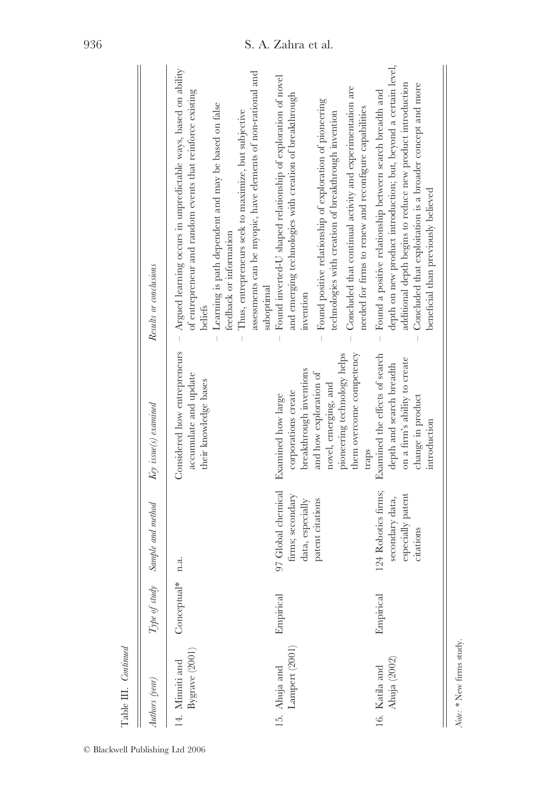| Table III. Continued              |               |                                                                                |                                                                                                                                                                                            |                                                                                                                                                                                                                                                                                                                                                                                                                          |
|-----------------------------------|---------------|--------------------------------------------------------------------------------|--------------------------------------------------------------------------------------------------------------------------------------------------------------------------------------------|--------------------------------------------------------------------------------------------------------------------------------------------------------------------------------------------------------------------------------------------------------------------------------------------------------------------------------------------------------------------------------------------------------------------------|
| Authors (year)                    | Type of study | Sample and method                                                              | Key issue(s) examined                                                                                                                                                                      | Results or conclusions                                                                                                                                                                                                                                                                                                                                                                                                   |
| Bygrave (2001)<br>14. Minniti and | Conceptual*   | n.a.                                                                           | Considered how entrepreneurs<br>accumulate and update<br>their knowledge bases                                                                                                             | Argued learning occurs in unpredictable ways, based on ability<br>assessments can be myopic, have elements of non-rational and<br>of entrepreneur and random events that reinforce existing<br>Learning is path dependent and may be based on false<br>Thus, entrepreneurs seek to maximize, but subjective<br>feedback or information<br>suboptimal<br>beliefs<br>$\mathbb{L}$<br>$\begin{array}{c} \hline \end{array}$ |
| Lampert (2001)<br>15. Ahuja and   | Empirical     | 97 Global chemical<br>firms; secondary<br>data, especially<br>patent citations | them overcome competency<br>pioneering technology helps<br>breakthrough inventions<br>and how exploration of<br>novel, emerging, and<br>corporations create<br>Examined how large<br>traps | Found inverted-U shaped relationship of exploration of novel<br>Concluded that continual activity and experimentation are<br>and emerging technologies with creation of breakthrough<br>Found positive relationship of exploration of pioneering<br>needed for firms to renew and reconfigure capabilities<br>technologies with creation of breakthrough invention<br>invention                                          |
| Ahuja (2002)<br>16. Katila and    | Empirical     | 124 Robotics firms;<br>especially patent<br>secondary data,<br>citations       | Examined the effects of search<br>on a firm's ability to create<br>depth and search breadth<br>change in product<br>introduction                                                           | depth on new product introduction; but, beyond a certain level,<br>additional depth begins to reduce new product introduction<br>Concluded that exploitation is a broader concept and more<br>Found a positive relationship between search breadth and<br>beneficial than previously believed                                                                                                                            |

Note:  $*$  New firms study. *Note:* \* New firms study.

© Blackwell Publishing Ltd 2006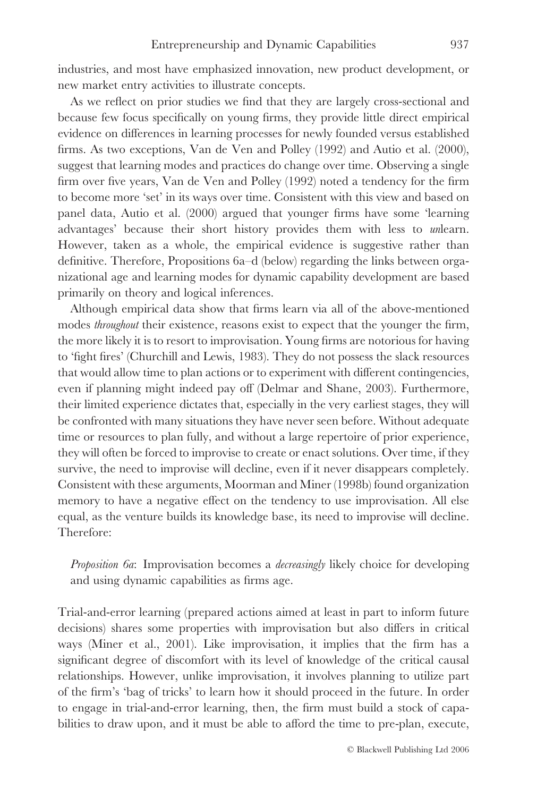industries, and most have emphasized innovation, new product development, or new market entry activities to illustrate concepts.

As we reflect on prior studies we find that they are largely cross-sectional and because few focus specifically on young firms, they provide little direct empirical evidence on differences in learning processes for newly founded versus established firms. As two exceptions, Van de Ven and Polley (1992) and Autio et al. (2000), suggest that learning modes and practices do change over time. Observing a single firm over five years, Van de Ven and Polley (1992) noted a tendency for the firm to become more 'set' in its ways over time. Consistent with this view and based on panel data, Autio et al. (2000) argued that younger firms have some 'learning advantages' because their short history provides them with less to *un*learn. However, taken as a whole, the empirical evidence is suggestive rather than definitive. Therefore, Propositions 6a–d (below) regarding the links between organizational age and learning modes for dynamic capability development are based primarily on theory and logical inferences.

Although empirical data show that firms learn via all of the above-mentioned modes *throughout* their existence, reasons exist to expect that the younger the firm, the more likely it is to resort to improvisation. Young firms are notorious for having to 'fight fires' (Churchill and Lewis, 1983). They do not possess the slack resources that would allow time to plan actions or to experiment with different contingencies, even if planning might indeed pay off (Delmar and Shane, 2003). Furthermore, their limited experience dictates that, especially in the very earliest stages, they will be confronted with many situations they have never seen before. Without adequate time or resources to plan fully, and without a large repertoire of prior experience, they will often be forced to improvise to create or enact solutions. Over time, if they survive, the need to improvise will decline, even if it never disappears completely. Consistent with these arguments, Moorman and Miner (1998b) found organization memory to have a negative effect on the tendency to use improvisation. All else equal, as the venture builds its knowledge base, its need to improvise will decline. Therefore:

*Proposition 6a*: Improvisation becomes a *decreasingly* likely choice for developing and using dynamic capabilities as firms age.

Trial-and-error learning (prepared actions aimed at least in part to inform future decisions) shares some properties with improvisation but also differs in critical ways (Miner et al., 2001). Like improvisation, it implies that the firm has a significant degree of discomfort with its level of knowledge of the critical causal relationships. However, unlike improvisation, it involves planning to utilize part of the firm's 'bag of tricks' to learn how it should proceed in the future. In order to engage in trial-and-error learning, then, the firm must build a stock of capabilities to draw upon, and it must be able to afford the time to pre-plan, execute,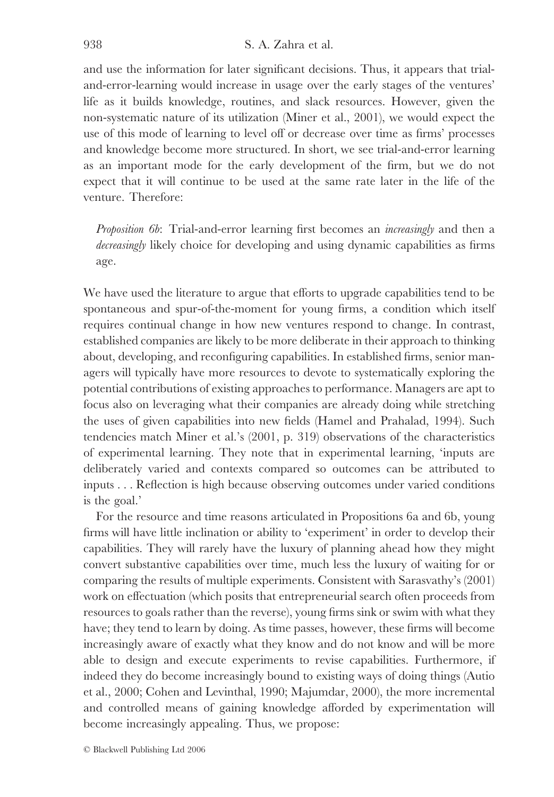and use the information for later significant decisions. Thus, it appears that trialand-error-learning would increase in usage over the early stages of the ventures' life as it builds knowledge, routines, and slack resources. However, given the non-systematic nature of its utilization (Miner et al., 2001), we would expect the use of this mode of learning to level off or decrease over time as firms' processes and knowledge become more structured. In short, we see trial-and-error learning as an important mode for the early development of the firm, but we do not expect that it will continue to be used at the same rate later in the life of the venture. Therefore:

*Proposition 6b*: Trial-and-error learning first becomes an *increasingly* and then a *decreasingly* likely choice for developing and using dynamic capabilities as firms age.

We have used the literature to argue that efforts to upgrade capabilities tend to be spontaneous and spur-of-the-moment for young firms, a condition which itself requires continual change in how new ventures respond to change. In contrast, established companies are likely to be more deliberate in their approach to thinking about, developing, and reconfiguring capabilities. In established firms, senior managers will typically have more resources to devote to systematically exploring the potential contributions of existing approaches to performance. Managers are apt to focus also on leveraging what their companies are already doing while stretching the uses of given capabilities into new fields (Hamel and Prahalad, 1994). Such tendencies match Miner et al.'s (2001, p. 319) observations of the characteristics of experimental learning. They note that in experimental learning, 'inputs are deliberately varied and contexts compared so outcomes can be attributed to inputs... Reflection is high because observing outcomes under varied conditions is the goal.'

For the resource and time reasons articulated in Propositions 6a and 6b, young firms will have little inclination or ability to 'experiment' in order to develop their capabilities. They will rarely have the luxury of planning ahead how they might convert substantive capabilities over time, much less the luxury of waiting for or comparing the results of multiple experiments. Consistent with Sarasvathy's (2001) work on effectuation (which posits that entrepreneurial search often proceeds from resources to goals rather than the reverse), young firms sink or swim with what they have; they tend to learn by doing. As time passes, however, these firms will become increasingly aware of exactly what they know and do not know and will be more able to design and execute experiments to revise capabilities. Furthermore, if indeed they do become increasingly bound to existing ways of doing things (Autio et al., 2000; Cohen and Levinthal, 1990; Majumdar, 2000), the more incremental and controlled means of gaining knowledge afforded by experimentation will become increasingly appealing. Thus, we propose: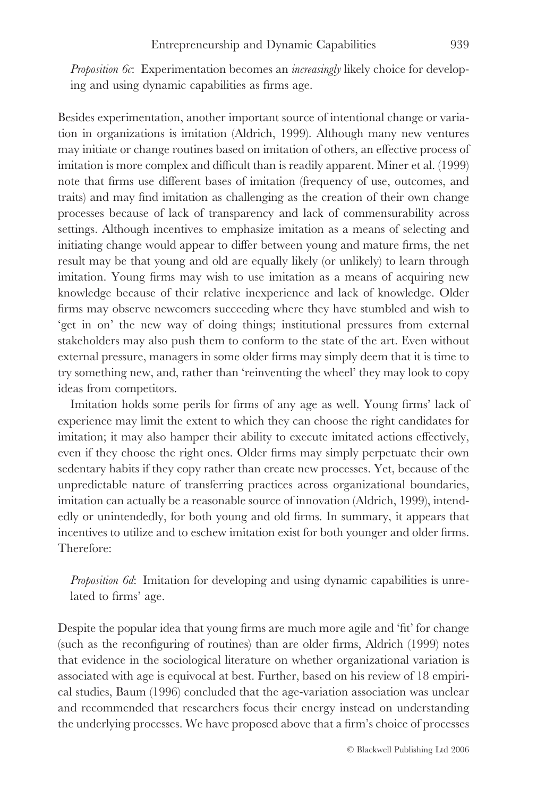*Proposition 6c*: Experimentation becomes an *increasingly* likely choice for developing and using dynamic capabilities as firms age.

Besides experimentation, another important source of intentional change or variation in organizations is imitation (Aldrich, 1999). Although many new ventures may initiate or change routines based on imitation of others, an effective process of imitation is more complex and difficult than is readily apparent. Miner et al. (1999) note that firms use different bases of imitation (frequency of use, outcomes, and traits) and may find imitation as challenging as the creation of their own change processes because of lack of transparency and lack of commensurability across settings. Although incentives to emphasize imitation as a means of selecting and initiating change would appear to differ between young and mature firms, the net result may be that young and old are equally likely (or unlikely) to learn through imitation. Young firms may wish to use imitation as a means of acquiring new knowledge because of their relative inexperience and lack of knowledge. Older firms may observe newcomers succeeding where they have stumbled and wish to 'get in on' the new way of doing things; institutional pressures from external stakeholders may also push them to conform to the state of the art. Even without external pressure, managers in some older firms may simply deem that it is time to try something new, and, rather than 'reinventing the wheel' they may look to copy ideas from competitors.

Imitation holds some perils for firms of any age as well. Young firms' lack of experience may limit the extent to which they can choose the right candidates for imitation; it may also hamper their ability to execute imitated actions effectively, even if they choose the right ones. Older firms may simply perpetuate their own sedentary habits if they copy rather than create new processes. Yet, because of the unpredictable nature of transferring practices across organizational boundaries, imitation can actually be a reasonable source of innovation (Aldrich, 1999), intendedly or unintendedly, for both young and old firms. In summary, it appears that incentives to utilize and to eschew imitation exist for both younger and older firms. Therefore:

*Proposition 6d*: Imitation for developing and using dynamic capabilities is unrelated to firms' age.

Despite the popular idea that young firms are much more agile and 'fit' for change (such as the reconfiguring of routines) than are older firms, Aldrich (1999) notes that evidence in the sociological literature on whether organizational variation is associated with age is equivocal at best. Further, based on his review of 18 empirical studies, Baum (1996) concluded that the age-variation association was unclear and recommended that researchers focus their energy instead on understanding the underlying processes. We have proposed above that a firm's choice of processes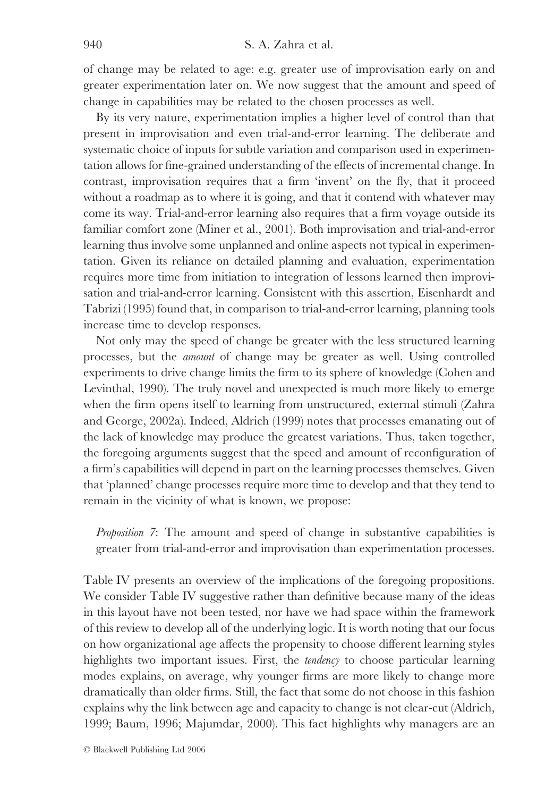of change may be related to age: e.g. greater use of improvisation early on and greater experimentation later on. We now suggest that the amount and speed of change in capabilities may be related to the chosen processes as well.

By its very nature, experimentation implies a higher level of control than that present in improvisation and even trial-and-error learning. The deliberate and systematic choice of inputs for subtle variation and comparison used in experimentation allows for fine-grained understanding of the effects of incremental change. In contrast, improvisation requires that a firm 'invent' on the fly, that it proceed without a roadmap as to where it is going, and that it contend with whatever may come its way. Trial-and-error learning also requires that a firm voyage outside its familiar comfort zone (Miner et al., 2001). Both improvisation and trial-and-error learning thus involve some unplanned and online aspects not typical in experimentation. Given its reliance on detailed planning and evaluation, experimentation requires more time from initiation to integration of lessons learned then improvisation and trial-and-error learning. Consistent with this assertion, Eisenhardt and Tabrizi (1995) found that, in comparison to trial-and-error learning, planning tools increase time to develop responses.

Not only may the speed of change be greater with the less structured learning processes, but the *amount* of change may be greater as well. Using controlled experiments to drive change limits the firm to its sphere of knowledge (Cohen and Levinthal, 1990). The truly novel and unexpected is much more likely to emerge when the firm opens itself to learning from unstructured, external stimuli (Zahra and George, 2002a). Indeed, Aldrich (1999) notes that processes emanating out of the lack of knowledge may produce the greatest variations. Thus, taken together, the foregoing arguments suggest that the speed and amount of reconfiguration of a firm's capabilities will depend in part on the learning processes themselves. Given that 'planned' change processes require more time to develop and that they tend to remain in the vicinity of what is known, we propose:

*Proposition 7*: The amount and speed of change in substantive capabilities is greater from trial-and-error and improvisation than experimentation processes.

Table IV presents an overview of the implications of the foregoing propositions. We consider Table IV suggestive rather than definitive because many of the ideas in this layout have not been tested, nor have we had space within the framework of this review to develop all of the underlying logic. It is worth noting that our focus on how organizational age affects the propensity to choose different learning styles highlights two important issues. First, the *tendency* to choose particular learning modes explains, on average, why younger firms are more likely to change more dramatically than older firms. Still, the fact that some do not choose in this fashion explains why the link between age and capacity to change is not clear-cut (Aldrich, 1999; Baum, 1996; Majumdar, 2000). This fact highlights why managers are an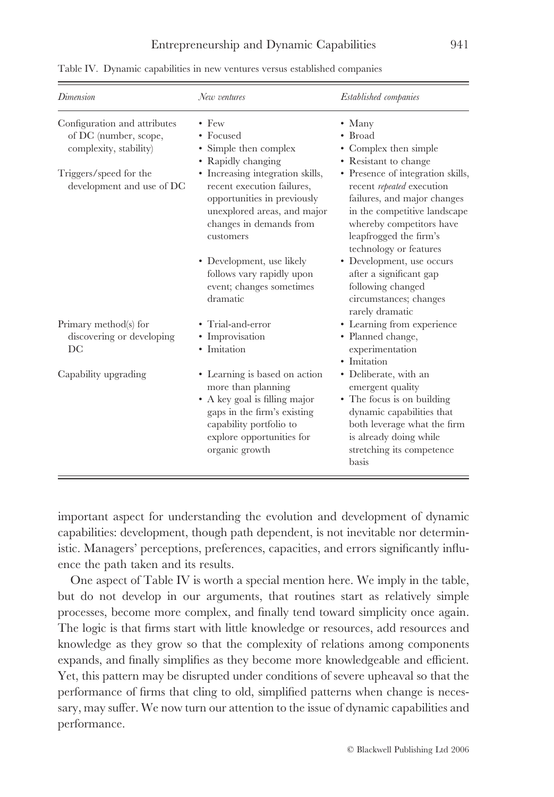### Entrepreneurship and Dynamic Capabilities 941

| Dimension                                                                       | New ventures                                                                                                                                                                                  | <b>Established</b> companies                                                                                                                                                                                  |
|---------------------------------------------------------------------------------|-----------------------------------------------------------------------------------------------------------------------------------------------------------------------------------------------|---------------------------------------------------------------------------------------------------------------------------------------------------------------------------------------------------------------|
| Configuration and attributes<br>of DC (number, scope,<br>complexity, stability) | $\bullet$ Few<br>• Focused<br>• Simple then complex<br>• Rapidly changing                                                                                                                     | • Many<br><b>Broad</b><br>Complex then simple<br>• Resistant to change                                                                                                                                        |
| Triggers/speed for the<br>development and use of DC                             | • Increasing integration skills,<br>recent execution failures,<br>opportunities in previously<br>unexplored areas, and major<br>changes in demands from<br>customers                          | • Presence of integration skills,<br>recent repeated execution<br>failures, and major changes<br>in the competitive landscape<br>whereby competitors have<br>leapfrogged the firm's<br>technology or features |
|                                                                                 | • Development, use likely<br>follows vary rapidly upon<br>event; changes sometimes<br>dramatic                                                                                                | • Development, use occurs<br>after a significant gap<br>following changed<br>circumstances; changes<br>rarely dramatic                                                                                        |
| Primary method(s) for<br>discovering or developing<br>DC                        | • Trial-and-error<br>• Improvisation<br>• Imitation                                                                                                                                           | • Learning from experience<br>· Planned change,<br>experimentation<br>• Imitation                                                                                                                             |
| Capability upgrading                                                            | • Learning is based on action<br>more than planning<br>• A key goal is filling major<br>gaps in the firm's existing<br>capability portfolio to<br>explore opportunities for<br>organic growth | • Deliberate, with an<br>emergent quality<br>• The focus is on building<br>dynamic capabilities that<br>both leverage what the firm<br>is already doing while<br>stretching its competence<br>basis           |

Table IV. Dynamic capabilities in new ventures versus established companies

important aspect for understanding the evolution and development of dynamic capabilities: development, though path dependent, is not inevitable nor deterministic. Managers' perceptions, preferences, capacities, and errors significantly influence the path taken and its results.

One aspect of Table IV is worth a special mention here. We imply in the table, but do not develop in our arguments, that routines start as relatively simple processes, become more complex, and finally tend toward simplicity once again. The logic is that firms start with little knowledge or resources, add resources and knowledge as they grow so that the complexity of relations among components expands, and finally simplifies as they become more knowledgeable and efficient. Yet, this pattern may be disrupted under conditions of severe upheaval so that the performance of firms that cling to old, simplified patterns when change is necessary, may suffer. We now turn our attention to the issue of dynamic capabilities and performance.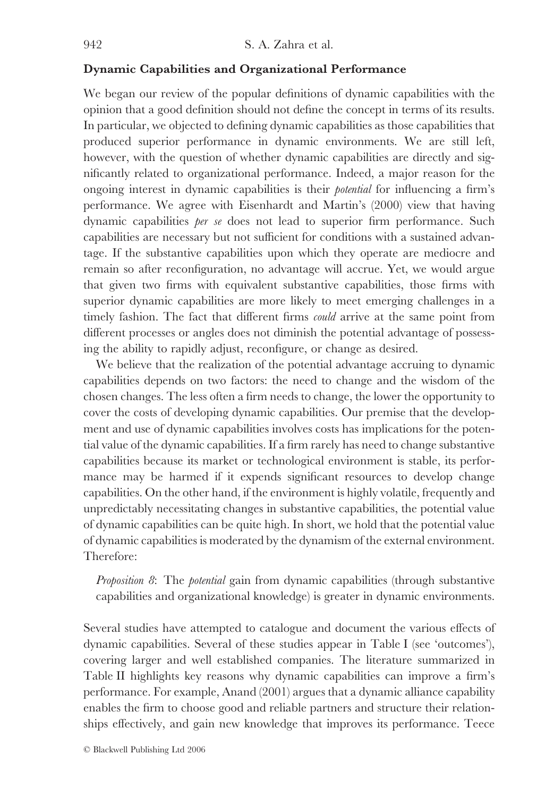## **Dynamic Capabilities and Organizational Performance**

We began our review of the popular definitions of dynamic capabilities with the opinion that a good definition should not define the concept in terms of its results. In particular, we objected to defining dynamic capabilities as those capabilities that produced superior performance in dynamic environments. We are still left, however, with the question of whether dynamic capabilities are directly and significantly related to organizational performance. Indeed, a major reason for the ongoing interest in dynamic capabilities is their *potential* for influencing a firm's performance. We agree with Eisenhardt and Martin's (2000) view that having dynamic capabilities *per se* does not lead to superior firm performance. Such capabilities are necessary but not sufficient for conditions with a sustained advantage. If the substantive capabilities upon which they operate are mediocre and remain so after reconfiguration, no advantage will accrue. Yet, we would argue that given two firms with equivalent substantive capabilities, those firms with superior dynamic capabilities are more likely to meet emerging challenges in a timely fashion. The fact that different firms *could* arrive at the same point from different processes or angles does not diminish the potential advantage of possessing the ability to rapidly adjust, reconfigure, or change as desired.

We believe that the realization of the potential advantage accruing to dynamic capabilities depends on two factors: the need to change and the wisdom of the chosen changes. The less often a firm needs to change, the lower the opportunity to cover the costs of developing dynamic capabilities. Our premise that the development and use of dynamic capabilities involves costs has implications for the potential value of the dynamic capabilities. If a firm rarely has need to change substantive capabilities because its market or technological environment is stable, its performance may be harmed if it expends significant resources to develop change capabilities. On the other hand, if the environment is highly volatile, frequently and unpredictably necessitating changes in substantive capabilities, the potential value of dynamic capabilities can be quite high. In short, we hold that the potential value of dynamic capabilities is moderated by the dynamism of the external environment. Therefore:

*Proposition 8*: The *potential* gain from dynamic capabilities (through substantive capabilities and organizational knowledge) is greater in dynamic environments.

Several studies have attempted to catalogue and document the various effects of dynamic capabilities. Several of these studies appear in Table I (see 'outcomes'), covering larger and well established companies. The literature summarized in Table II highlights key reasons why dynamic capabilities can improve a firm's performance. For example, Anand (2001) argues that a dynamic alliance capability enables the firm to choose good and reliable partners and structure their relationships effectively, and gain new knowledge that improves its performance. Teece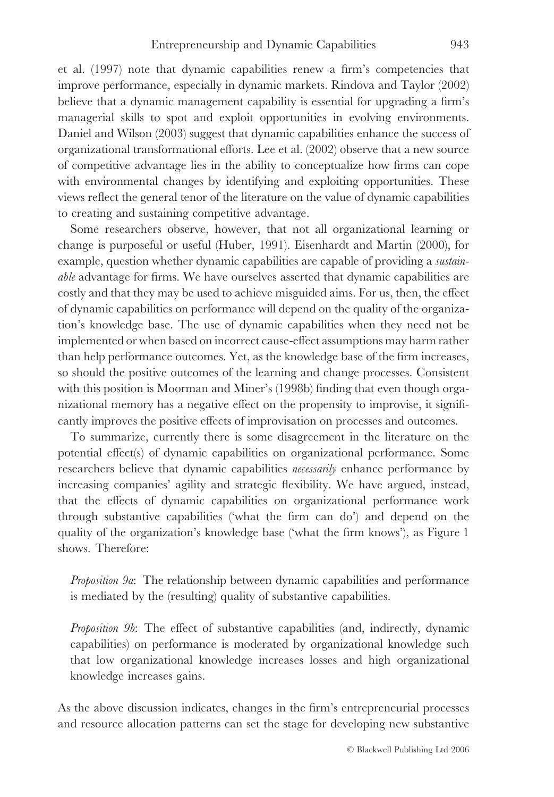et al. (1997) note that dynamic capabilities renew a firm's competencies that improve performance, especially in dynamic markets. Rindova and Taylor (2002) believe that a dynamic management capability is essential for upgrading a firm's managerial skills to spot and exploit opportunities in evolving environments. Daniel and Wilson (2003) suggest that dynamic capabilities enhance the success of organizational transformational efforts. Lee et al. (2002) observe that a new source of competitive advantage lies in the ability to conceptualize how firms can cope with environmental changes by identifying and exploiting opportunities. These views reflect the general tenor of the literature on the value of dynamic capabilities to creating and sustaining competitive advantage.

Some researchers observe, however, that not all organizational learning or change is purposeful or useful (Huber, 1991). Eisenhardt and Martin (2000), for example, question whether dynamic capabilities are capable of providing a *sustainable* advantage for firms. We have ourselves asserted that dynamic capabilities are costly and that they may be used to achieve misguided aims. For us, then, the effect of dynamic capabilities on performance will depend on the quality of the organization's knowledge base. The use of dynamic capabilities when they need not be implemented or when based on incorrect cause-effect assumptions may harm rather than help performance outcomes. Yet, as the knowledge base of the firm increases, so should the positive outcomes of the learning and change processes. Consistent with this position is Moorman and Miner's (1998b) finding that even though organizational memory has a negative effect on the propensity to improvise, it significantly improves the positive effects of improvisation on processes and outcomes.

To summarize, currently there is some disagreement in the literature on the potential effect(s) of dynamic capabilities on organizational performance. Some researchers believe that dynamic capabilities *necessarily* enhance performance by increasing companies' agility and strategic flexibility. We have argued, instead, that the effects of dynamic capabilities on organizational performance work through substantive capabilities ('what the firm can do') and depend on the quality of the organization's knowledge base ('what the firm knows'), as Figure 1 shows. Therefore:

*Proposition 9a*: The relationship between dynamic capabilities and performance is mediated by the (resulting) quality of substantive capabilities.

*Proposition 9b*: The effect of substantive capabilities (and, indirectly, dynamic capabilities) on performance is moderated by organizational knowledge such that low organizational knowledge increases losses and high organizational knowledge increases gains.

As the above discussion indicates, changes in the firm's entrepreneurial processes and resource allocation patterns can set the stage for developing new substantive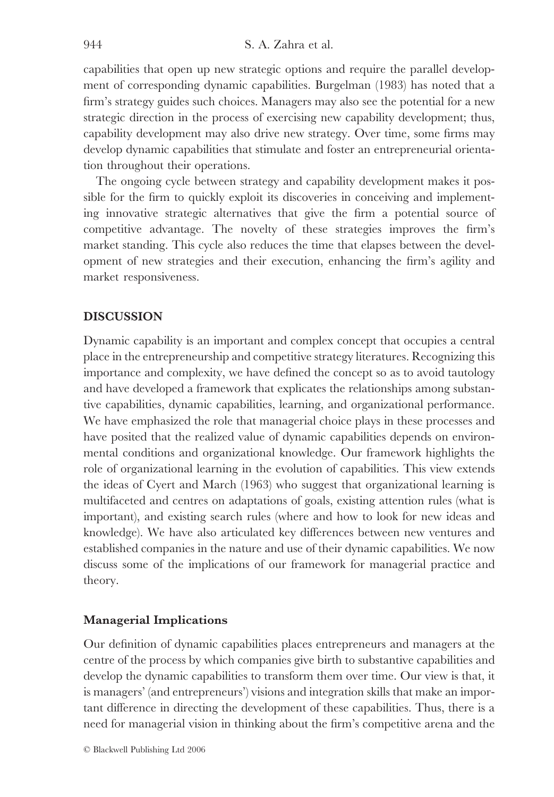capabilities that open up new strategic options and require the parallel development of corresponding dynamic capabilities. Burgelman (1983) has noted that a firm's strategy guides such choices. Managers may also see the potential for a new strategic direction in the process of exercising new capability development; thus, capability development may also drive new strategy. Over time, some firms may develop dynamic capabilities that stimulate and foster an entrepreneurial orientation throughout their operations.

The ongoing cycle between strategy and capability development makes it possible for the firm to quickly exploit its discoveries in conceiving and implementing innovative strategic alternatives that give the firm a potential source of competitive advantage. The novelty of these strategies improves the firm's market standing. This cycle also reduces the time that elapses between the development of new strategies and their execution, enhancing the firm's agility and market responsiveness.

### **DISCUSSION**

Dynamic capability is an important and complex concept that occupies a central place in the entrepreneurship and competitive strategy literatures. Recognizing this importance and complexity, we have defined the concept so as to avoid tautology and have developed a framework that explicates the relationships among substantive capabilities, dynamic capabilities, learning, and organizational performance. We have emphasized the role that managerial choice plays in these processes and have posited that the realized value of dynamic capabilities depends on environmental conditions and organizational knowledge. Our framework highlights the role of organizational learning in the evolution of capabilities. This view extends the ideas of Cyert and March (1963) who suggest that organizational learning is multifaceted and centres on adaptations of goals, existing attention rules (what is important), and existing search rules (where and how to look for new ideas and knowledge). We have also articulated key differences between new ventures and established companies in the nature and use of their dynamic capabilities. We now discuss some of the implications of our framework for managerial practice and theory.

### **Managerial Implications**

Our definition of dynamic capabilities places entrepreneurs and managers at the centre of the process by which companies give birth to substantive capabilities and develop the dynamic capabilities to transform them over time. Our view is that, it is managers' (and entrepreneurs') visions and integration skills that make an important difference in directing the development of these capabilities. Thus, there is a need for managerial vision in thinking about the firm's competitive arena and the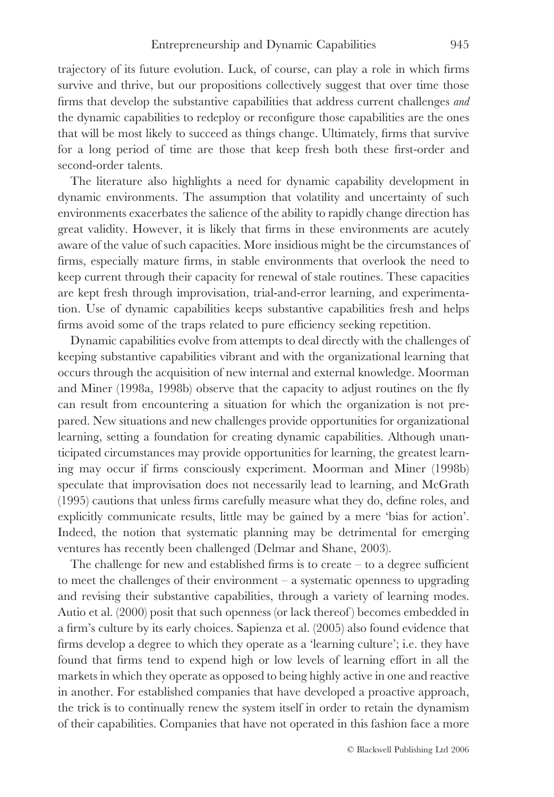trajectory of its future evolution. Luck, of course, can play a role in which firms survive and thrive, but our propositions collectively suggest that over time those firms that develop the substantive capabilities that address current challenges *and* the dynamic capabilities to redeploy or reconfigure those capabilities are the ones that will be most likely to succeed as things change. Ultimately, firms that survive for a long period of time are those that keep fresh both these first-order and second-order talents.

The literature also highlights a need for dynamic capability development in dynamic environments. The assumption that volatility and uncertainty of such environments exacerbates the salience of the ability to rapidly change direction has great validity. However, it is likely that firms in these environments are acutely aware of the value of such capacities. More insidious might be the circumstances of firms, especially mature firms, in stable environments that overlook the need to keep current through their capacity for renewal of stale routines. These capacities are kept fresh through improvisation, trial-and-error learning, and experimentation. Use of dynamic capabilities keeps substantive capabilities fresh and helps firms avoid some of the traps related to pure efficiency seeking repetition.

Dynamic capabilities evolve from attempts to deal directly with the challenges of keeping substantive capabilities vibrant and with the organizational learning that occurs through the acquisition of new internal and external knowledge. Moorman and Miner (1998a, 1998b) observe that the capacity to adjust routines on the fly can result from encountering a situation for which the organization is not prepared. New situations and new challenges provide opportunities for organizational learning, setting a foundation for creating dynamic capabilities. Although unanticipated circumstances may provide opportunities for learning, the greatest learning may occur if firms consciously experiment. Moorman and Miner (1998b) speculate that improvisation does not necessarily lead to learning, and McGrath (1995) cautions that unless firms carefully measure what they do, define roles, and explicitly communicate results, little may be gained by a mere 'bias for action'. Indeed, the notion that systematic planning may be detrimental for emerging ventures has recently been challenged (Delmar and Shane, 2003).

The challenge for new and established firms is to create  $-$  to a degree sufficient to meet the challenges of their environment – a systematic openness to upgrading and revising their substantive capabilities, through a variety of learning modes. Autio et al. (2000) posit that such openness (or lack thereof ) becomes embedded in a firm's culture by its early choices. Sapienza et al. (2005) also found evidence that firms develop a degree to which they operate as a 'learning culture'; i.e. they have found that firms tend to expend high or low levels of learning effort in all the markets in which they operate as opposed to being highly active in one and reactive in another. For established companies that have developed a proactive approach, the trick is to continually renew the system itself in order to retain the dynamism of their capabilities. Companies that have not operated in this fashion face a more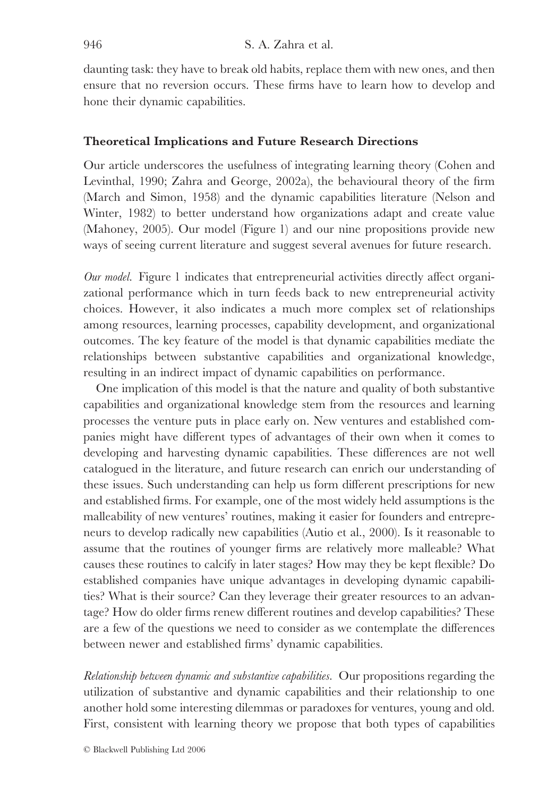daunting task: they have to break old habits, replace them with new ones, and then ensure that no reversion occurs. These firms have to learn how to develop and hone their dynamic capabilities.

### **Theoretical Implications and Future Research Directions**

Our article underscores the usefulness of integrating learning theory (Cohen and Levinthal, 1990; Zahra and George, 2002a), the behavioural theory of the firm (March and Simon, 1958) and the dynamic capabilities literature (Nelson and Winter, 1982) to better understand how organizations adapt and create value (Mahoney, 2005). Our model (Figure 1) and our nine propositions provide new ways of seeing current literature and suggest several avenues for future research.

*Our model.* Figure 1 indicates that entrepreneurial activities directly affect organizational performance which in turn feeds back to new entrepreneurial activity choices. However, it also indicates a much more complex set of relationships among resources, learning processes, capability development, and organizational outcomes. The key feature of the model is that dynamic capabilities mediate the relationships between substantive capabilities and organizational knowledge, resulting in an indirect impact of dynamic capabilities on performance.

One implication of this model is that the nature and quality of both substantive capabilities and organizational knowledge stem from the resources and learning processes the venture puts in place early on. New ventures and established companies might have different types of advantages of their own when it comes to developing and harvesting dynamic capabilities. These differences are not well catalogued in the literature, and future research can enrich our understanding of these issues. Such understanding can help us form different prescriptions for new and established firms. For example, one of the most widely held assumptions is the malleability of new ventures' routines, making it easier for founders and entrepreneurs to develop radically new capabilities (Autio et al., 2000). Is it reasonable to assume that the routines of younger firms are relatively more malleable? What causes these routines to calcify in later stages? How may they be kept flexible? Do established companies have unique advantages in developing dynamic capabilities? What is their source? Can they leverage their greater resources to an advantage? How do older firms renew different routines and develop capabilities? These are a few of the questions we need to consider as we contemplate the differences between newer and established firms' dynamic capabilities.

*Relationship between dynamic and substantive capabilities.* Our propositions regarding the utilization of substantive and dynamic capabilities and their relationship to one another hold some interesting dilemmas or paradoxes for ventures, young and old. First, consistent with learning theory we propose that both types of capabilities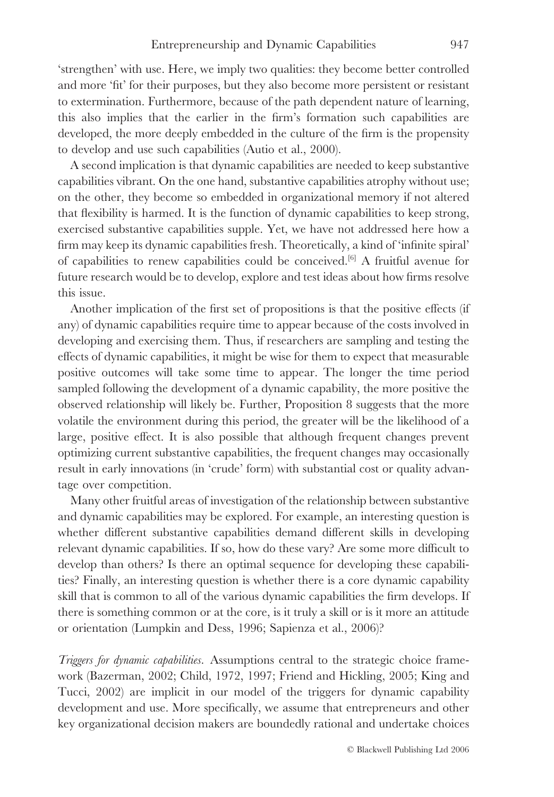'strengthen' with use. Here, we imply two qualities: they become better controlled and more 'fit' for their purposes, but they also become more persistent or resistant to extermination. Furthermore, because of the path dependent nature of learning, this also implies that the earlier in the firm's formation such capabilities are developed, the more deeply embedded in the culture of the firm is the propensity to develop and use such capabilities (Autio et al., 2000).

A second implication is that dynamic capabilities are needed to keep substantive capabilities vibrant. On the one hand, substantive capabilities atrophy without use; on the other, they become so embedded in organizational memory if not altered that flexibility is harmed. It is the function of dynamic capabilities to keep strong, exercised substantive capabilities supple. Yet, we have not addressed here how a firm may keep its dynamic capabilities fresh. Theoretically, a kind of 'infinite spiral' of capabilities to renew capabilities could be conceived.[6] A fruitful avenue for future research would be to develop, explore and test ideas about how firms resolve this issue.

Another implication of the first set of propositions is that the positive effects (if any) of dynamic capabilities require time to appear because of the costs involved in developing and exercising them. Thus, if researchers are sampling and testing the effects of dynamic capabilities, it might be wise for them to expect that measurable positive outcomes will take some time to appear. The longer the time period sampled following the development of a dynamic capability, the more positive the observed relationship will likely be. Further, Proposition 8 suggests that the more volatile the environment during this period, the greater will be the likelihood of a large, positive effect. It is also possible that although frequent changes prevent optimizing current substantive capabilities, the frequent changes may occasionally result in early innovations (in 'crude' form) with substantial cost or quality advantage over competition.

Many other fruitful areas of investigation of the relationship between substantive and dynamic capabilities may be explored. For example, an interesting question is whether different substantive capabilities demand different skills in developing relevant dynamic capabilities. If so, how do these vary? Are some more difficult to develop than others? Is there an optimal sequence for developing these capabilities? Finally, an interesting question is whether there is a core dynamic capability skill that is common to all of the various dynamic capabilities the firm develops. If there is something common or at the core, is it truly a skill or is it more an attitude or orientation (Lumpkin and Dess, 1996; Sapienza et al., 2006)?

*Triggers for dynamic capabilities.* Assumptions central to the strategic choice framework (Bazerman, 2002; Child, 1972, 1997; Friend and Hickling, 2005; King and Tucci, 2002) are implicit in our model of the triggers for dynamic capability development and use. More specifically, we assume that entrepreneurs and other key organizational decision makers are boundedly rational and undertake choices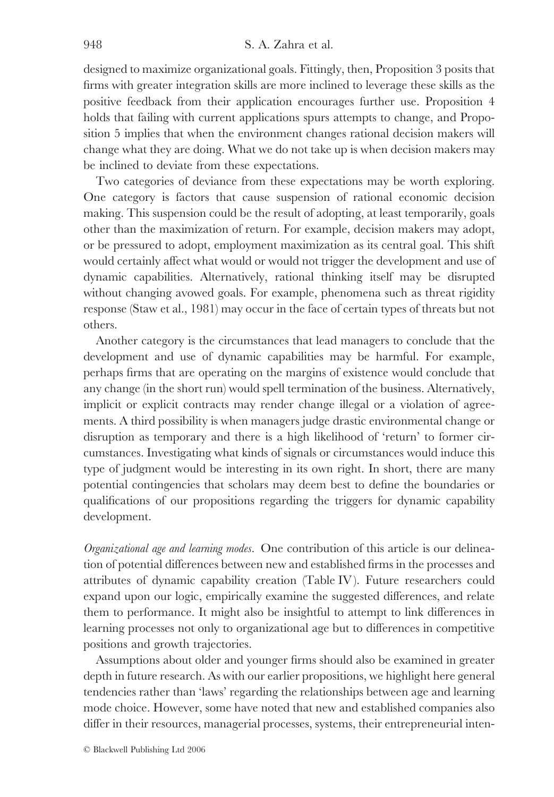designed to maximize organizational goals. Fittingly, then, Proposition 3 posits that firms with greater integration skills are more inclined to leverage these skills as the positive feedback from their application encourages further use. Proposition 4 holds that failing with current applications spurs attempts to change, and Proposition 5 implies that when the environment changes rational decision makers will change what they are doing. What we do not take up is when decision makers may be inclined to deviate from these expectations.

Two categories of deviance from these expectations may be worth exploring. One category is factors that cause suspension of rational economic decision making. This suspension could be the result of adopting, at least temporarily, goals other than the maximization of return. For example, decision makers may adopt, or be pressured to adopt, employment maximization as its central goal. This shift would certainly affect what would or would not trigger the development and use of dynamic capabilities. Alternatively, rational thinking itself may be disrupted without changing avowed goals. For example, phenomena such as threat rigidity response (Staw et al., 1981) may occur in the face of certain types of threats but not others.

Another category is the circumstances that lead managers to conclude that the development and use of dynamic capabilities may be harmful. For example, perhaps firms that are operating on the margins of existence would conclude that any change (in the short run) would spell termination of the business. Alternatively, implicit or explicit contracts may render change illegal or a violation of agreements. A third possibility is when managers judge drastic environmental change or disruption as temporary and there is a high likelihood of 'return' to former circumstances. Investigating what kinds of signals or circumstances would induce this type of judgment would be interesting in its own right. In short, there are many potential contingencies that scholars may deem best to define the boundaries or qualifications of our propositions regarding the triggers for dynamic capability development.

*Organizational age and learning modes.* One contribution of this article is our delineation of potential differences between new and established firms in the processes and attributes of dynamic capability creation (Table IV ). Future researchers could expand upon our logic, empirically examine the suggested differences, and relate them to performance. It might also be insightful to attempt to link differences in learning processes not only to organizational age but to differences in competitive positions and growth trajectories.

Assumptions about older and younger firms should also be examined in greater depth in future research. As with our earlier propositions, we highlight here general tendencies rather than 'laws' regarding the relationships between age and learning mode choice. However, some have noted that new and established companies also differ in their resources, managerial processes, systems, their entrepreneurial inten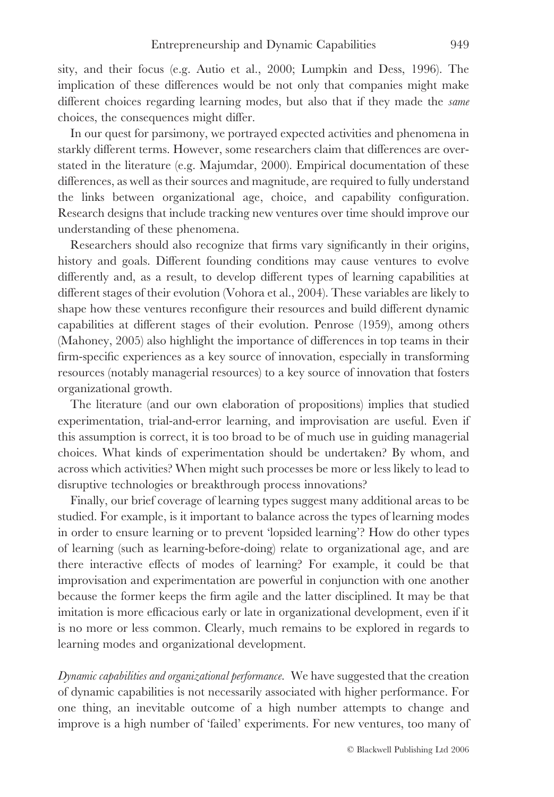sity, and their focus (e.g. Autio et al., 2000; Lumpkin and Dess, 1996). The implication of these differences would be not only that companies might make different choices regarding learning modes, but also that if they made the *same* choices, the consequences might differ.

In our quest for parsimony, we portrayed expected activities and phenomena in starkly different terms. However, some researchers claim that differences are overstated in the literature (e.g. Majumdar, 2000). Empirical documentation of these differences, as well as their sources and magnitude, are required to fully understand the links between organizational age, choice, and capability configuration. Research designs that include tracking new ventures over time should improve our understanding of these phenomena.

Researchers should also recognize that firms vary significantly in their origins, history and goals. Different founding conditions may cause ventures to evolve differently and, as a result, to develop different types of learning capabilities at different stages of their evolution (Vohora et al., 2004). These variables are likely to shape how these ventures reconfigure their resources and build different dynamic capabilities at different stages of their evolution. Penrose (1959), among others (Mahoney, 2005) also highlight the importance of differences in top teams in their firm-specific experiences as a key source of innovation, especially in transforming resources (notably managerial resources) to a key source of innovation that fosters organizational growth.

The literature (and our own elaboration of propositions) implies that studied experimentation, trial-and-error learning, and improvisation are useful. Even if this assumption is correct, it is too broad to be of much use in guiding managerial choices. What kinds of experimentation should be undertaken? By whom, and across which activities? When might such processes be more or less likely to lead to disruptive technologies or breakthrough process innovations?

Finally, our brief coverage of learning types suggest many additional areas to be studied. For example, is it important to balance across the types of learning modes in order to ensure learning or to prevent 'lopsided learning'? How do other types of learning (such as learning-before-doing) relate to organizational age, and are there interactive effects of modes of learning? For example, it could be that improvisation and experimentation are powerful in conjunction with one another because the former keeps the firm agile and the latter disciplined. It may be that imitation is more efficacious early or late in organizational development, even if it is no more or less common. Clearly, much remains to be explored in regards to learning modes and organizational development.

*Dynamic capabilities and organizational performance.* We have suggested that the creation of dynamic capabilities is not necessarily associated with higher performance. For one thing, an inevitable outcome of a high number attempts to change and improve is a high number of 'failed' experiments. For new ventures, too many of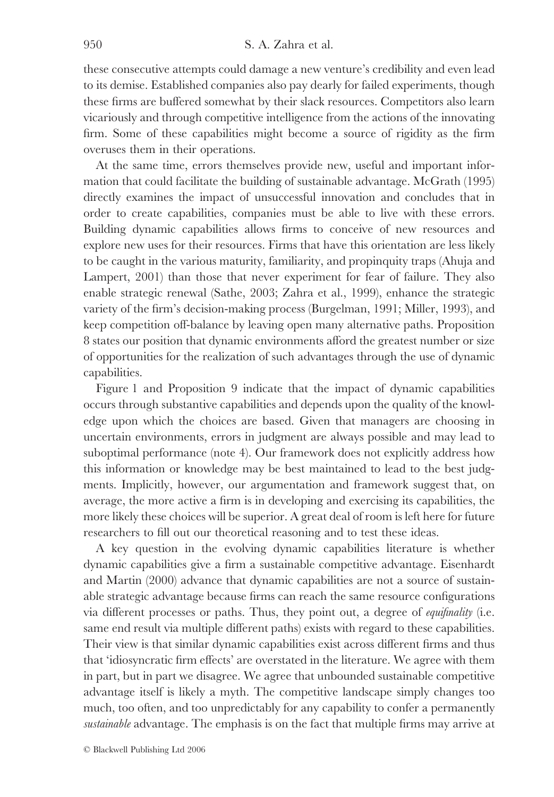these consecutive attempts could damage a new venture's credibility and even lead to its demise. Established companies also pay dearly for failed experiments, though these firms are buffered somewhat by their slack resources. Competitors also learn vicariously and through competitive intelligence from the actions of the innovating firm. Some of these capabilities might become a source of rigidity as the firm overuses them in their operations.

At the same time, errors themselves provide new, useful and important information that could facilitate the building of sustainable advantage. McGrath (1995) directly examines the impact of unsuccessful innovation and concludes that in order to create capabilities, companies must be able to live with these errors. Building dynamic capabilities allows firms to conceive of new resources and explore new uses for their resources. Firms that have this orientation are less likely to be caught in the various maturity, familiarity, and propinquity traps (Ahuja and Lampert, 2001) than those that never experiment for fear of failure. They also enable strategic renewal (Sathe, 2003; Zahra et al., 1999), enhance the strategic variety of the firm's decision-making process (Burgelman, 1991; Miller, 1993), and keep competition off-balance by leaving open many alternative paths. Proposition 8 states our position that dynamic environments afford the greatest number or size of opportunities for the realization of such advantages through the use of dynamic capabilities.

Figure 1 and Proposition 9 indicate that the impact of dynamic capabilities occurs through substantive capabilities and depends upon the quality of the knowledge upon which the choices are based. Given that managers are choosing in uncertain environments, errors in judgment are always possible and may lead to suboptimal performance (note 4). Our framework does not explicitly address how this information or knowledge may be best maintained to lead to the best judgments. Implicitly, however, our argumentation and framework suggest that, on average, the more active a firm is in developing and exercising its capabilities, the more likely these choices will be superior. A great deal of room is left here for future researchers to fill out our theoretical reasoning and to test these ideas.

A key question in the evolving dynamic capabilities literature is whether dynamic capabilities give a firm a sustainable competitive advantage. Eisenhardt and Martin (2000) advance that dynamic capabilities are not a source of sustainable strategic advantage because firms can reach the same resource configurations via different processes or paths. Thus, they point out, a degree of *equifinality* (i.e. same end result via multiple different paths) exists with regard to these capabilities. Their view is that similar dynamic capabilities exist across different firms and thus that 'idiosyncratic firm effects' are overstated in the literature. We agree with them in part, but in part we disagree. We agree that unbounded sustainable competitive advantage itself is likely a myth. The competitive landscape simply changes too much, too often, and too unpredictably for any capability to confer a permanently *sustainable* advantage. The emphasis is on the fact that multiple firms may arrive at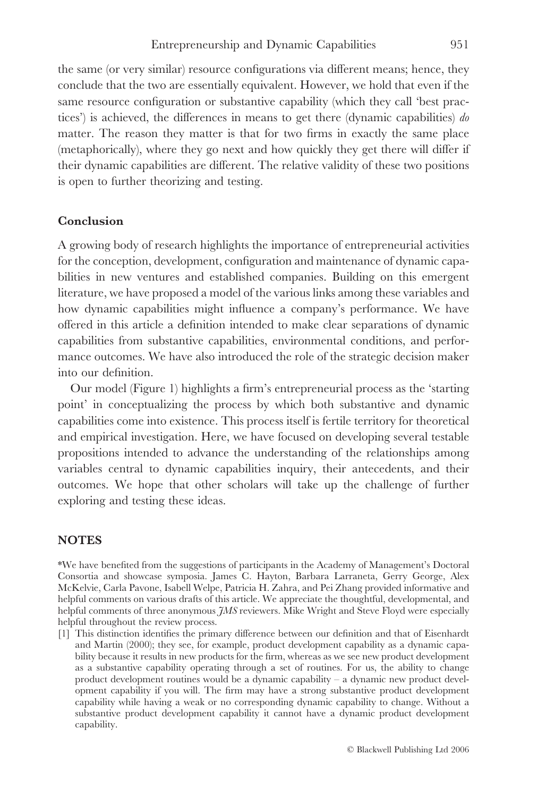the same (or very similar) resource configurations via different means; hence, they conclude that the two are essentially equivalent. However, we hold that even if the same resource configuration or substantive capability (which they call 'best practices') is achieved, the differences in means to get there (dynamic capabilities) *do* matter. The reason they matter is that for two firms in exactly the same place (metaphorically), where they go next and how quickly they get there will differ if their dynamic capabilities are different. The relative validity of these two positions is open to further theorizing and testing.

## **Conclusion**

A growing body of research highlights the importance of entrepreneurial activities for the conception, development, configuration and maintenance of dynamic capabilities in new ventures and established companies. Building on this emergent literature, we have proposed a model of the various links among these variables and how dynamic capabilities might influence a company's performance. We have offered in this article a definition intended to make clear separations of dynamic capabilities from substantive capabilities, environmental conditions, and performance outcomes. We have also introduced the role of the strategic decision maker into our definition.

Our model (Figure 1) highlights a firm's entrepreneurial process as the 'starting point' in conceptualizing the process by which both substantive and dynamic capabilities come into existence. This process itself is fertile territory for theoretical and empirical investigation. Here, we have focused on developing several testable propositions intended to advance the understanding of the relationships among variables central to dynamic capabilities inquiry, their antecedents, and their outcomes. We hope that other scholars will take up the challenge of further exploring and testing these ideas.

### **NOTES**

\*We have benefited from the suggestions of participants in the Academy of Management's Doctoral Consortia and showcase symposia. James C. Hayton, Barbara Larraneta, Gerry George, Alex McKelvie, Carla Pavone, Isabell Welpe, Patricia H. Zahra, and Pei Zhang provided informative and helpful comments on various drafts of this article. We appreciate the thoughtful, developmental, and helpful comments of three anonymous *JMS* reviewers. Mike Wright and Steve Floyd were especially helpful throughout the review process.

[1] This distinction identifies the primary difference between our definition and that of Eisenhardt and Martin (2000); they see, for example, product development capability as a dynamic capability because it results in new products for the firm, whereas as we see new product development as a substantive capability operating through a set of routines. For us, the ability to change product development routines would be a dynamic capability – a dynamic new product development capability if you will. The firm may have a strong substantive product development capability while having a weak or no corresponding dynamic capability to change. Without a substantive product development capability it cannot have a dynamic product development capability.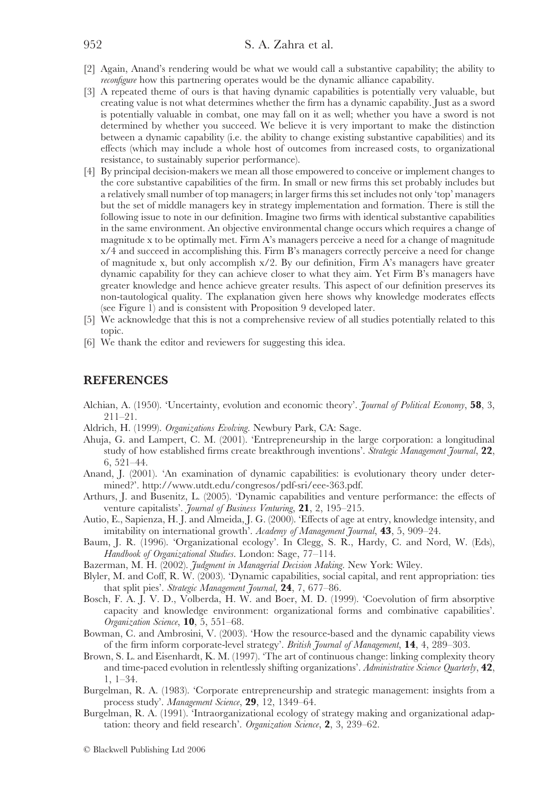### 952 S. A. Zahra et al.

- [2] Again, Anand's rendering would be what we would call a substantive capability; the ability to *reconfigure* how this partnering operates would be the dynamic alliance capability.
- [3] A repeated theme of ours is that having dynamic capabilities is potentially very valuable, but creating value is not what determines whether the firm has a dynamic capability. Just as a sword is potentially valuable in combat, one may fall on it as well; whether you have a sword is not determined by whether you succeed. We believe it is very important to make the distinction between a dynamic capability (i.e. the ability to change existing substantive capabilities) and its effects (which may include a whole host of outcomes from increased costs, to organizational resistance, to sustainably superior performance).
- [4] By principal decision-makers we mean all those empowered to conceive or implement changes to the core substantive capabilities of the firm. In small or new firms this set probably includes but a relatively small number of top managers; in larger firms this set includes not only 'top' managers but the set of middle managers key in strategy implementation and formation. There is still the following issue to note in our definition. Imagine two firms with identical substantive capabilities in the same environment. An objective environmental change occurs which requires a change of magnitude x to be optimally met. Firm A's managers perceive a need for a change of magnitude  $x/4$  and succeed in accomplishing this. Firm B's managers correctly perceive a need for change of magnitude x, but only accomplish  $x/2$ . By our definition, Firm A's managers have greater dynamic capability for they can achieve closer to what they aim. Yet Firm B's managers have greater knowledge and hence achieve greater results. This aspect of our definition preserves its non-tautological quality. The explanation given here shows why knowledge moderates effects (see Figure 1) and is consistent with Proposition 9 developed later.
- [5] We acknowledge that this is not a comprehensive review of all studies potentially related to this topic.
- [6] We thank the editor and reviewers for suggesting this idea.

#### **REFERENCES**

- Alchian, A. (1950). 'Uncertainty, evolution and economic theory'. *Journal of Political Economy*, **58**, 3, 211–21.
- Aldrich, H. (1999). *Organizations Evolving*. Newbury Park, CA: Sage.
- Ahuja, G. and Lampert, C. M. (2001). 'Entrepreneurship in the large corporation: a longitudinal study of how established firms create breakthrough inventions'. *Strategic Management Journal*, **22**, 6, 521–44.
- Anand, J. (2001). 'An examination of dynamic capabilities: is evolutionary theory under determined?'. [http://www.utdt.edu/congresos/pdf-sri/eee-363.pdf.](http://www.utdt.edu/congresos/pdf-sri/eee-363.pdf)
- Arthurs, J. and Busenitz, L. (2005). 'Dynamic capabilities and venture performance: the effects of venture capitalists'. *Journal of Business Venturing*, **21**, 2, 195–215.
- Autio, E., Sapienza, H. J. and Almeida, J. G. (2000). 'Effects of age at entry, knowledge intensity, and imitability on international growth'. *Academy of Management Journal*, **43**, 5, 909–24.
- Baum, J. R. (1996). 'Organizational ecology'. In Clegg, S. R., Hardy, C. and Nord, W. (Eds), *Handbook of Organizational Studies*. London: Sage, 77–114.
- Bazerman, M. H. (2002). *Judgment in Managerial Decision Making*. New York: Wiley.
- Blyler, M. and Coff, R. W. (2003). 'Dynamic capabilities, social capital, and rent appropriation: ties that split pies'. *Strategic Management Journal*, **24**, 7, 677–86.
- Bosch, F. A. J. V. D., Volberda, H. W. and Boer, M. D. (1999). 'Coevolution of firm absorptive capacity and knowledge environment: organizational forms and combinative capabilities'. *Organization Science*, **10**, 5, 551–68.
- Bowman, C. and Ambrosini, V. (2003). 'How the resource-based and the dynamic capability views of the firm inform corporate-level strategy'. *British Journal of Management*, **14**, 4, 289–303.
- Brown, S. L. and Eisenhardt, K. M. (1997). 'The art of continuous change: linking complexity theory and time-paced evolution in relentlessly shifting organizations'. *Administrative Science Quarterly*, **42**, 1, 1–34.
- Burgelman, R. A. (1983). 'Corporate entrepreneurship and strategic management: insights from a process study'. *Management Science*, **29**, 12, 1349–64.
- Burgelman, R. A. (1991). 'Intraorganizational ecology of strategy making and organizational adaptation: theory and field research'. *Organization Science*, **2**, 3, 239–62.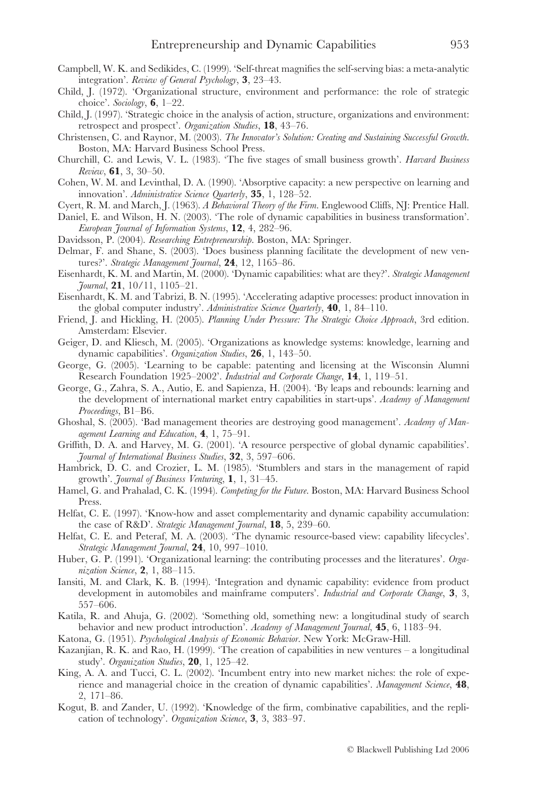- Campbell, W. K. and Sedikides, C. (1999). 'Self-threat magnifies the self-serving bias: a meta-analytic integration'. *Review of General Psychology*, **3**, 23–43.
- Child, J. (1972). 'Organizational structure, environment and performance: the role of strategic choice'. *Sociology*, **6**, 1–22.
- Child, J. (1997). 'Strategic choice in the analysis of action, structure, organizations and environment: retrospect and prospect'. *Organization Studies*, **18**, 43–76.
- Christensen, C. and Raynor, M. (2003). *The Innovator's Solution: Creating and Sustaining Successful Growth*. Boston, MA: Harvard Business School Press.
- Churchill, C. and Lewis, V. L. (1983). 'The five stages of small business growth'. *Harvard Business Review*, **61**, 3, 30–50.
- Cohen, W. M. and Levinthal, D. A. (1990). 'Absorptive capacity: a new perspective on learning and innovation'. *Administrative Science Quarterly*, **35**, 1, 128–52.
- Cyert, R. M. and March, J. (1963). *A Behavioral Theory of the Firm*. Englewood Cliffs, NJ: Prentice Hall.
- Daniel, E. and Wilson, H. N. (2003). 'The role of dynamic capabilities in business transformation'. *European Journal of Information Systems*, **12**, 4, 282–96.
- Davidsson, P. (2004). *Researching Entrepreneurship*. Boston, MA: Springer.
- Delmar, F. and Shane, S. (2003). 'Does business planning facilitate the development of new ventures?'. *Strategic Management Journal*, **24**, 12, 1165–86.
- Eisenhardt, K. M. and Martin, M. (2000). 'Dynamic capabilities: what are they?'. *Strategic Management Journal*, **21**, 10/11, 1105–21.
- Eisenhardt, K. M. and Tabrizi, B. N. (1995). 'Accelerating adaptive processes: product innovation in the global computer industry'. *Administrative Science Quarterly*, **40**, 1, 84–110.
- Friend, J. and Hickling, H. (2005). *Planning Under Pressure: The Strategic Choice Approach*, 3rd edition. Amsterdam: Elsevier.
- Geiger, D. and Kliesch, M. (2005). 'Organizations as knowledge systems: knowledge, learning and dynamic capabilities'. *Organization Studies*, **26**, 1, 143–50.
- George, G. (2005). 'Learning to be capable: patenting and licensing at the Wisconsin Alumni Research Foundation 1925–2002'. *Industrial and Corporate Change*, **14**, 1, 119–51.
- George, G., Zahra, S. A., Autio, E. and Sapienza, H. (2004). 'By leaps and rebounds: learning and the development of international market entry capabilities in start-ups'. *Academy of Management Proceedings*, B1–B6.
- Ghoshal, S. (2005). 'Bad management theories are destroying good management'. *Academy of Management Learning and Education*, **4**, 1, 75–91.
- Griffith, D. A. and Harvey, M. G. (2001). 'A resource perspective of global dynamic capabilities'. *Journal of International Business Studies*, **32**, 3, 597–606.
- Hambrick, D. C. and Crozier, L. M. (1985). 'Stumblers and stars in the management of rapid growth'. *Journal of Business Venturing*, **1**, 1, 31–45.
- Hamel, G. and Prahalad, C. K. (1994). *Competing for the Future*. Boston, MA: Harvard Business School Press.
- Helfat, C. E. (1997). 'Know-how and asset complementarity and dynamic capability accumulation: the case of R&D'. *Strategic Management Journal*, **18**, 5, 239–60.
- Helfat, C. E. and Peteraf, M. A. (2003). 'The dynamic resource-based view: capability lifecycles'. *Strategic Management Journal*, **24**, 10, 997–1010.
- Huber, G. P. (1991). 'Organizational learning: the contributing processes and the literatures'. *Organization Science*, **2**, 1, 88–115.
- Iansiti, M. and Clark, K. B. (1994). 'Integration and dynamic capability: evidence from product development in automobiles and mainframe computers'. *Industrial and Corporate Change*, **3**, 3, 557–606.
- Katila, R. and Ahuja, G. (2002). 'Something old, something new: a longitudinal study of search behavior and new product introduction'. *Academy of Management Journal*, **45**, 6, 1183–94.
- Katona, G. (1951). *Psychological Analysis of Economic Behavior*. New York: McGraw-Hill.
- Kazanjian, R. K. and Rao, H. (1999). 'The creation of capabilities in new ventures a longitudinal study'. *Organization Studies*, **20**, 1, 125–42.
- King, A. A. and Tucci, C. L. (2002). 'Incumbent entry into new market niches: the role of experience and managerial choice in the creation of dynamic capabilities'. *Management Science*, **48**, 2, 171–86.
- Kogut, B. and Zander, U. (1992). 'Knowledge of the firm, combinative capabilities, and the replication of technology'. *Organization Science*, **3**, 3, 383–97.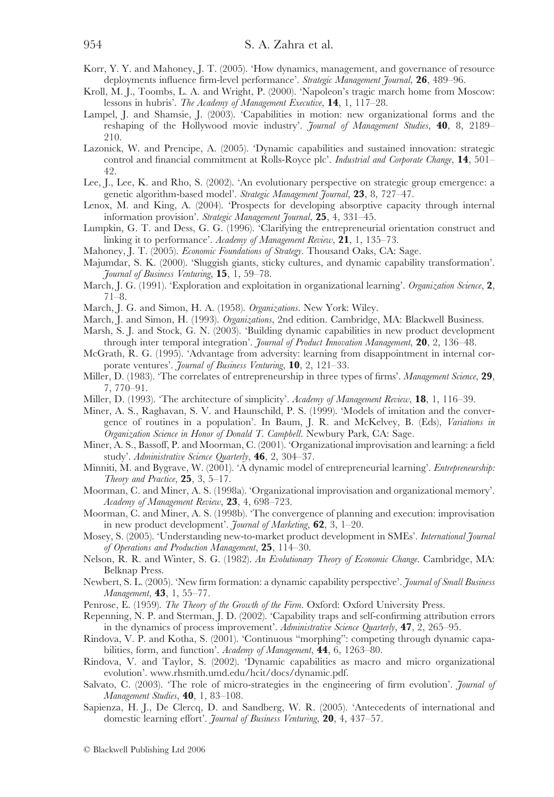- Korr, Y. Y. and Mahoney, J. T. (2005). 'How dynamics, management, and governance of resource deployments influence firm-level performance'. *Strategic Management Journal*, **26**, 489–96.
- Kroll, M. J., Toombs, L. A. and Wright, P. (2000). 'Napoleon's tragic march home from Moscow: lessons in hubris'. *The Academy of Management Executive*, **14**, 1, 117–28.
- Lampel, J. and Shamsie, J. (2003). 'Capabilities in motion: new organizational forms and the reshaping of the Hollywood movie industry'. *Journal of Management Studies*, **40**, 8, 2189– 210.
- Lazonick, W. and Prencipe, A. (2005). 'Dynamic capabilities and sustained innovation: strategic control and financial commitment at Rolls-Royce plc'. *Industrial and Corporate Change*, **14**, 501– 42.
- Lee, J., Lee, K. and Rho, S. (2002). 'An evolutionary perspective on strategic group emergence: a genetic algorithm-based model'. *Strategic Management Journal*, **23**, 8, 727–47.
- Lenox, M. and King, A. (2004). 'Prospects for developing absorptive capacity through internal information provision'. *Strategic Management Journal*, **25**, 4, 331–45.
- Lumpkin, G. T. and Dess, G. G. (1996). 'Clarifying the entrepreneurial orientation construct and linking it to performance'. *Academy of Management Review*, **21**, 1, 135–73.
- Mahoney, J. T. (2005). *Economic Foundations of Strategy*. Thousand Oaks, CA: Sage.
- Majumdar, S. K. (2000). 'Sluggish giants, sticky cultures, and dynamic capability transformation'. *Journal of Business Venturing*, **15**, 1, 59–78.
- March, J. G. (1991). 'Exploration and exploitation in organizational learning'. *Organization Science*, **2**, 71–8.
- March, J. G. and Simon, H. A. (1958). *Organizations*. New York: Wiley.
- March, J. and Simon, H. (1993). *Organizations*, 2nd edition. Cambridge, MA: Blackwell Business.
- Marsh, S. J. and Stock, G. N. (2003). 'Building dynamic capabilities in new product development through inter temporal integration'. *Journal of Product Innovation Management*, **20**, 2, 136–48.
- McGrath, R. G. (1995). 'Advantage from adversity: learning from disappointment in internal corporate ventures'. *Journal of Business Venturing*, **10**, 2, 121–33.
- Miller, D. (1983). 'The correlates of entrepreneurship in three types of firms'. *Management Science*, **29**, 7, 770–91.
- Miller, D. (1993). 'The architecture of simplicity'. *Academy of Management Review*, **18**, 1, 116–39.
- Miner, A. S., Raghavan, S. V. and Haunschild, P. S. (1999). 'Models of imitation and the convergence of routines in a population'. In Baum, J. R. and McKelvey, B. (Eds), *Variations in Organization Science in Honor of Donald T. Campbell*. Newbury Park, CA: Sage.
- Miner, A. S., Bassoff, P. and Moorman, C. (2001). 'Organizational improvisation and learning: a field study'. *Administrative Science Quarterly*, **46**, 2, 304–37.
- Minniti, M. and Bygrave, W. (2001). 'A dynamic model of entrepreneurial learning'. *Entrepreneurship: Theory and Practice*, **25**, 3, 5–17.
- Moorman, C. and Miner, A. S. (1998a). 'Organizational improvisation and organizational memory'. *Academy of Management Review*, **23**, 4, 698–723.
- Moorman, C. and Miner, A. S. (1998b). 'The convergence of planning and execution: improvisation in new product development'. *Journal of Marketing*, **62**, 3, 1–20.
- Mosey, S. (2005). 'Understanding new-to-market product development in SMEs'. *International Journal of Operations and Production Management*, **25**, 114–30.
- Nelson, R. R. and Winter, S. G. (1982). *An Evolutionary Theory of Economic Change*. Cambridge, MA: Belknap Press.
- Newbert, S. L. (2005). 'New firm formation: a dynamic capability perspective'. *Journal of Small Business Management*, **43**, 1, 55–77.
- Penrose, E. (1959). *The Theory of the Growth of the Firm*. Oxford: Oxford University Press.
- Repenning, N. P. and Sterman, J. D. (2002). 'Capability traps and self-confirming attribution errors in the dynamics of process improvement'. *Administrative Science Quarterly*, **47**, 2, 265–95.
- Rindova, V. P. and Kotha, S. (2001). 'Continuous "morphing": competing through dynamic capabilities, form, and function'. *Academy of Management*, **44**, 6, 1263–80.
- Rindova, V. and Taylor, S. (2002). 'Dynamic capabilities as macro and micro organizational evolution'. [www.rhsmith.umd.edu/hcit/docs/dynamic.pdf.](http://www.rhsmith.umd.edu/hcit/docs/dynamic.pdf)
- Salvato, C. (2003). 'The role of micro-strategies in the engineering of firm evolution'. *Journal of Management Studies*, **40**, 1, 83–108.
- Sapienza, H. J., De Clercq, D. and Sandberg, W. R. (2005). 'Antecedents of international and domestic learning effort'. *Journal of Business Venturing*, **20**, 4, 437–57.